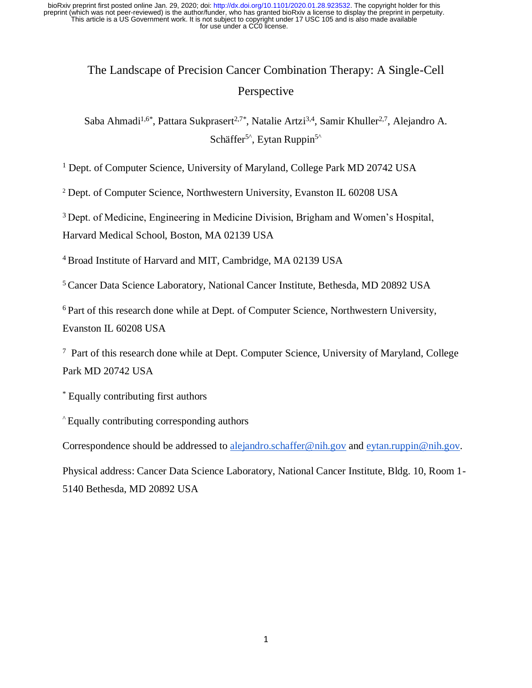# The Landscape of Precision Cancer Combination Therapy: A Single-Cell Perspective

Saba Ahmadi<sup>1,6\*</sup>, Pattara Sukprasert<sup>2,7\*</sup>, Natalie Artzi<sup>3,4</sup>, Samir Khuller<sup>2,7</sup>, Alejandro A. Schäffer<sup>5 $\textdegree$ </sup>, Eytan Ruppin<sup>5 $\textdegree$ </sup>

<sup>1</sup> Dept. of Computer Science, University of Maryland, College Park MD 20742 USA

<sup>2</sup> Dept. of Computer Science, Northwestern University, Evanston IL 60208 USA

<sup>3</sup>Dept. of Medicine, Engineering in Medicine Division, Brigham and Women's Hospital,

Harvard Medical School, Boston, MA 02139 USA

<sup>4</sup>Broad Institute of Harvard and MIT, Cambridge, MA 02139 USA

<sup>5</sup>Cancer Data Science Laboratory, National Cancer Institute, Bethesda, MD 20892 USA

<sup>6</sup> Part of this research done while at Dept. of Computer Science, Northwestern University, Evanston IL 60208 USA

 $7$  Part of this research done while at Dept. Computer Science, University of Maryland, College Park MD 20742 USA

\* Equally contributing first authors

^ Equally contributing corresponding authors

Correspondence should be addressed to [alejandro.schaffer@nih.gov](mailto:alejandro.schaffer@nih.gov) and [eytan.ruppin@nih.gov.](mailto:eytan.ruppin@nih.gov)

Physical address: Cancer Data Science Laboratory, National Cancer Institute, Bldg. 10, Room 1- 5140 Bethesda, MD 20892 USA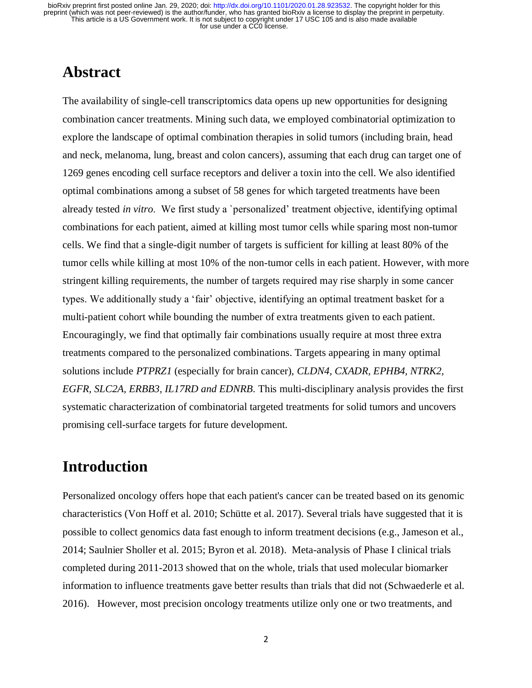## **Abstract**

The availability of single-cell transcriptomics data opens up new opportunities for designing combination cancer treatments. Mining such data, we employed combinatorial optimization to explore the landscape of optimal combination therapies in solid tumors (including brain, head and neck, melanoma, lung, breast and colon cancers), assuming that each drug can target one of 1269 genes encoding cell surface receptors and deliver a toxin into the cell. We also identified optimal combinations among a subset of 58 genes for which targeted treatments have been already tested *in vitro*. We first study a `personalized' treatment objective, identifying optimal combinations for each patient, aimed at killing most tumor cells while sparing most non-tumor cells. We find that a single-digit number of targets is sufficient for killing at least 80% of the tumor cells while killing at most 10% of the non-tumor cells in each patient. However, with more stringent killing requirements, the number of targets required may rise sharply in some cancer types. We additionally study a 'fair' objective, identifying an optimal treatment basket for a multi-patient cohort while bounding the number of extra treatments given to each patient. Encouragingly, we find that optimally fair combinations usually require at most three extra treatments compared to the personalized combinations. Targets appearing in many optimal solutions include *PTPRZ1* (especially for brain cancer), *CLDN4, CXADR, EPHB4, NTRK2, EGFR, SLC2A, ERBB3, IL17RD and EDNRB*. This multi-disciplinary analysis provides the first systematic characterization of combinatorial targeted treatments for solid tumors and uncovers promising cell-surface targets for future development.

# **Introduction**

Personalized oncology offers hope that each patient's cancer can be treated based on its genomic characteristics (Von Hoff et al. 2010; Schütte et al. 2017). Several trials have suggested that it is possible to collect genomics data fast enough to inform treatment decisions (e.g., Jameson et al., 2014; Saulnier Sholler et al. 2015; Byron et al. 2018). Meta-analysis of Phase I clinical trials completed during 2011-2013 showed that on the whole, trials that used molecular biomarker information to influence treatments gave better results than trials that did not (Schwaederle et al. 2016). However, most precision oncology treatments utilize only one or two treatments, and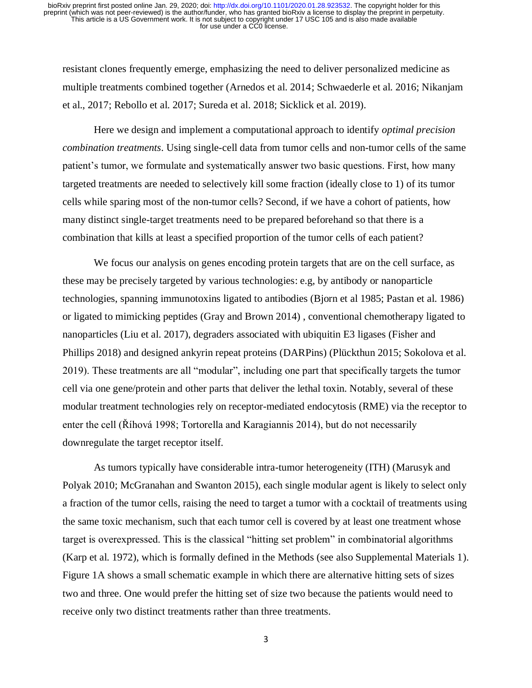resistant clones frequently emerge, emphasizing the need to deliver personalized medicine as multiple treatments combined together (Arnedos et al. 2014; Schwaederle et al. 2016; Nikanjam et al., 2017; Rebollo et al. 2017; Sureda et al. 2018; Sicklick et al. 2019).

Here we design and implement a computational approach to identify *optimal precision combination treatments*. Using single-cell data from tumor cells and non-tumor cells of the same patient's tumor, we formulate and systematically answer two basic questions. First, how many targeted treatments are needed to selectively kill some fraction (ideally close to 1) of its tumor cells while sparing most of the non-tumor cells? Second, if we have a cohort of patients, how many distinct single-target treatments need to be prepared beforehand so that there is a combination that kills at least a specified proportion of the tumor cells of each patient?

We focus our analysis on genes encoding protein targets that are on the cell surface, as these may be precisely targeted by various technologies: e.g, by antibody or nanoparticle technologies, spanning immunotoxins ligated to antibodies (Bjorn et al 1985; Pastan et al. 1986) or ligated to mimicking peptides (Gray and Brown 2014) , conventional chemotherapy ligated to nanoparticles (Liu et al. 2017), degraders associated with ubiquitin E3 ligases (Fisher and Phillips 2018) and designed ankyrin repeat proteins (DARPins) (Plückthun 2015; Sokolova et al. 2019). These treatments are all "modular", including one part that specifically targets the tumor cell via one gene/protein and other parts that deliver the lethal toxin. Notably, several of these modular treatment technologies rely on receptor-mediated endocytosis (RME) via the receptor to enter the cell (Říhová 1998; Tortorella and Karagiannis 2014), but do not necessarily downregulate the target receptor itself.

As tumors typically have considerable intra-tumor heterogeneity (ITH) (Marusyk and Polyak 2010; McGranahan and Swanton 2015), each single modular agent is likely to select only a fraction of the tumor cells, raising the need to target a tumor with a cocktail of treatments using the same toxic mechanism, such that each tumor cell is covered by at least one treatment whose target is overexpressed. This is the classical "hitting set problem" in combinatorial algorithms (Karp et al. 1972), which is formally defined in the Methods (see also Supplemental Materials 1). Figure 1A shows a small schematic example in which there are alternative hitting sets of sizes two and three. One would prefer the hitting set of size two because the patients would need to receive only two distinct treatments rather than three treatments.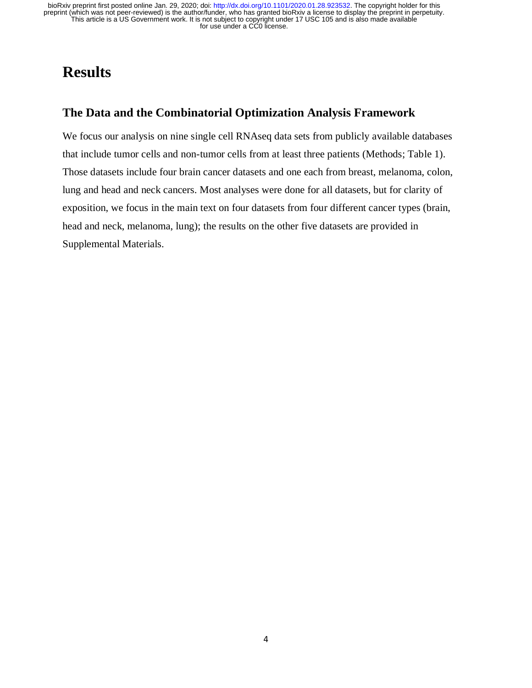# **Results**

### **The Data and the Combinatorial Optimization Analysis Framework**

We focus our analysis on nine single cell RNAseq data sets from publicly available databases that include tumor cells and non-tumor cells from at least three patients (Methods; Table 1). Those datasets include four brain cancer datasets and one each from breast, melanoma, colon, lung and head and neck cancers. Most analyses were done for all datasets, but for clarity of exposition, we focus in the main text on four datasets from four different cancer types (brain, head and neck, melanoma, lung); the results on the other five datasets are provided in Supplemental Materials.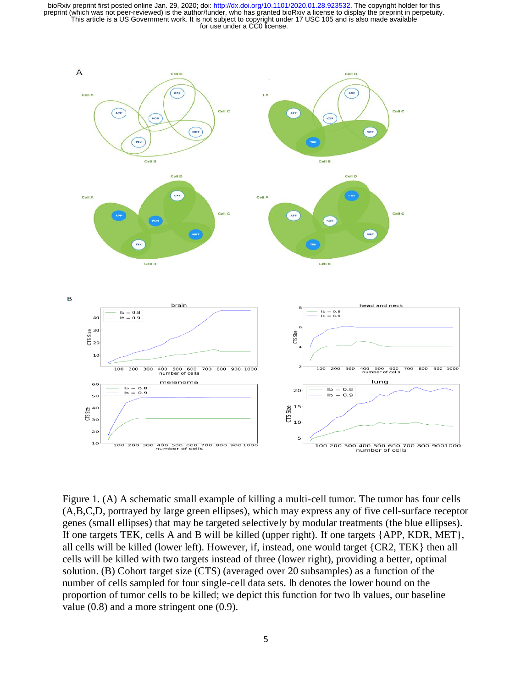

Figure 1. (A) A schematic small example of killing a multi-cell tumor. The tumor has four cells (A,B,C,D, portrayed by large green ellipses), which may express any of five cell-surface receptor genes (small ellipses) that may be targeted selectively by modular treatments (the blue ellipses). If one targets TEK, cells A and B will be killed (upper right). If one targets {APP, KDR, MET}, all cells will be killed (lower left). However, if, instead, one would target {CR2, TEK} then all cells will be killed with two targets instead of three (lower right), providing a better, optimal solution. (B) Cohort target size (CTS) (averaged over 20 subsamples) as a function of the number of cells sampled for four single-cell data sets. lb denotes the lower bound on the proportion of tumor cells to be killed; we depict this function for two lb values, our baseline value (0.8) and a more stringent one (0.9).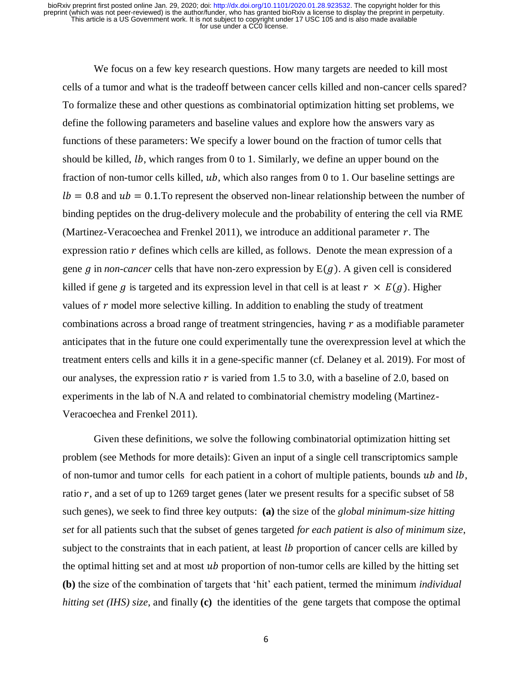We focus on a few key research questions. How many targets are needed to kill most cells of a tumor and what is the tradeoff between cancer cells killed and non-cancer cells spared? To formalize these and other questions as combinatorial optimization hitting set problems, we define the following parameters and baseline values and explore how the answers vary as functions of these parameters: We specify a lower bound on the fraction of tumor cells that should be killed,  $lb$ , which ranges from 0 to 1. Similarly, we define an upper bound on the fraction of non-tumor cells killed,  $ub$ , which also ranges from 0 to 1. Our baseline settings are  $lb = 0.8$  and  $ub = 0.1$ . To represent the observed non-linear relationship between the number of binding peptides on the drug-delivery molecule and the probability of entering the cell via RME (Martinez-Veracoechea and Frenkel 2011), we introduce an additional parameter  $r$ . The expression ratio  $r$  defines which cells are killed, as follows. Denote the mean expression of a gene  $g$  in *non-cancer* cells that have non-zero expression by  $E(g)$ . A given cell is considered killed if gene g is targeted and its expression level in that cell is at least  $r \times E(g)$ . Higher values of  $r$  model more selective killing. In addition to enabling the study of treatment combinations across a broad range of treatment stringencies, having  $r$  as a modifiable parameter anticipates that in the future one could experimentally tune the overexpression level at which the treatment enters cells and kills it in a gene-specific manner (cf. Delaney et al. 2019). For most of our analyses, the expression ratio  $r$  is varied from 1.5 to 3.0, with a baseline of 2.0, based on experiments in the lab of N.A and related to combinatorial chemistry modeling (Martinez-Veracoechea and Frenkel 2011).

Given these definitions, we solve the following combinatorial optimization hitting set problem (see Methods for more details): Given an input of a single cell transcriptomics sample of non-tumor and tumor cells for each patient in a cohort of multiple patients, bounds  $ub$  and  $lb$ , ratio  $r$ , and a set of up to 1269 target genes (later we present results for a specific subset of 58 such genes), we seek to find three key outputs: **(a)** the size of the *global minimum-size hitting set* for all patients such that the subset of genes targeted *for each patient is also of minimum size*, subject to the constraints that in each patient, at least *lb* proportion of cancer cells are killed by the optimal hitting set and at most  $ub$  proportion of non-tumor cells are killed by the hitting set **(b)** the size of the combination of targets that 'hit' each patient, termed the minimum *individual hitting set (IHS) size*, and finally **(c)** the identities of the gene targets that compose the optimal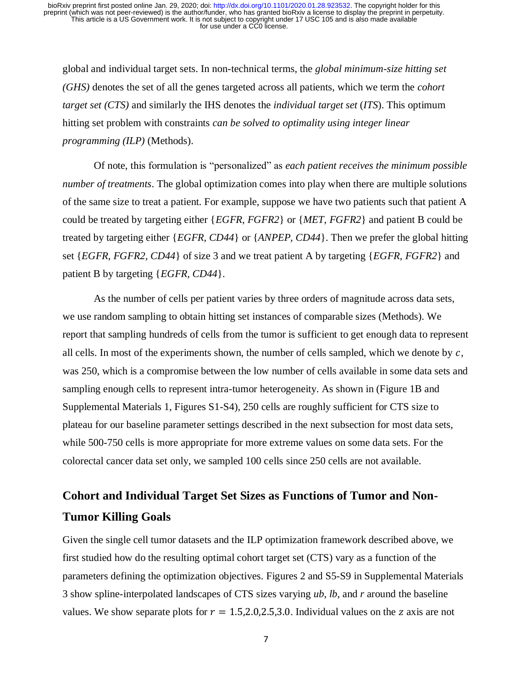global and individual target sets. In non-technical terms, the *global minimum-size hitting set (GHS)* denotes the set of all the genes targeted across all patients, which we term the *cohort target set (CTS)* and similarly the IHS denotes the *individual target set* (*ITS*). This optimum hitting set problem with constraints *can be solved to optimality using integer linear programming (ILP)* (Methods).

Of note, this formulation is "personalized" as *each patient receives the minimum possible number of treatments*. The global optimization comes into play when there are multiple solutions of the same size to treat a patient. For example, suppose we have two patients such that patient A could be treated by targeting either {*EGFR, FGFR2*} or {*MET, FGFR2*} and patient B could be treated by targeting either {*EGFR, CD44*} or {*ANPEP, CD44*}. Then we prefer the global hitting set {*EGFR, FGFR2, CD44*} of size 3 and we treat patient A by targeting {*EGFR, FGFR2*} and patient B by targeting {*EGFR, CD44*}.

As the number of cells per patient varies by three orders of magnitude across data sets, we use random sampling to obtain hitting set instances of comparable sizes (Methods). We report that sampling hundreds of cells from the tumor is sufficient to get enough data to represent all cells. In most of the experiments shown, the number of cells sampled, which we denote by  $c$ , was 250, which is a compromise between the low number of cells available in some data sets and sampling enough cells to represent intra-tumor heterogeneity. As shown in (Figure 1B and Supplemental Materials 1, Figures S1-S4), 250 cells are roughly sufficient for CTS size to plateau for our baseline parameter settings described in the next subsection for most data sets, while 500-750 cells is more appropriate for more extreme values on some data sets. For the colorectal cancer data set only, we sampled 100 cells since 250 cells are not available.

# **Cohort and Individual Target Set Sizes as Functions of Tumor and Non-Tumor Killing Goals**

Given the single cell tumor datasets and the ILP optimization framework described above, we first studied how do the resulting optimal cohort target set (CTS) vary as a function of the parameters defining the optimization objectives. Figures 2 and S5-S9 in Supplemental Materials 3 show spline-interpolated landscapes of CTS sizes varying *ub*, *lb*, and *r* around the baseline values. We show separate plots for  $r = 1.5, 2.0, 2.5, 3.0$ . Individual values on the z axis are not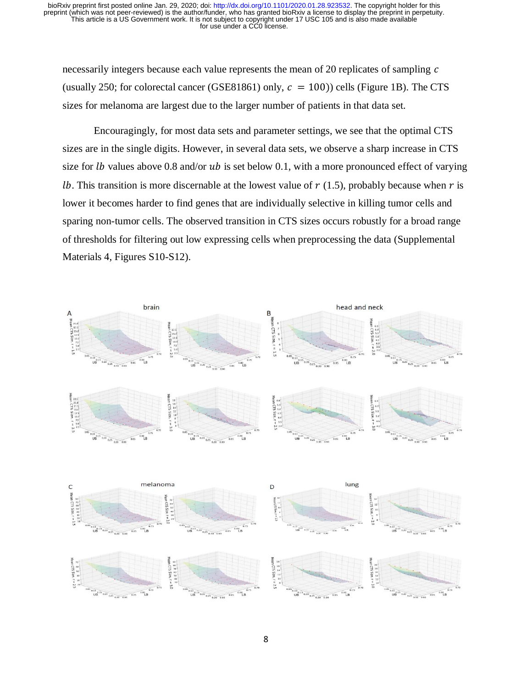necessarily integers because each value represents the mean of 20 replicates of sampling  $c$ (usually 250; for colorectal cancer (GSE81861) only,  $c = 100$ )) cells (Figure 1B). The CTS sizes for melanoma are largest due to the larger number of patients in that data set.

Encouragingly, for most data sets and parameter settings, we see that the optimal CTS sizes are in the single digits. However, in several data sets, we observe a sharp increase in CTS size for *lb* values above 0.8 and/or *ub* is set below 0.1, with a more pronounced effect of varying *lb*. This transition is more discernable at the lowest value of  $r$  (1.5), probably because when  $r$  is lower it becomes harder to find genes that are individually selective in killing tumor cells and sparing non-tumor cells. The observed transition in CTS sizes occurs robustly for a broad range of thresholds for filtering out low expressing cells when preprocessing the data (Supplemental Materials 4, Figures S10-S12).

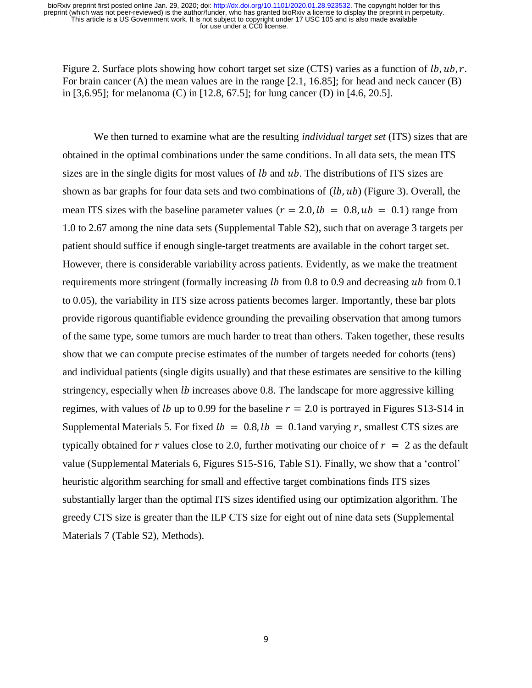Figure 2. Surface plots showing how cohort target set size (CTS) varies as a function of  $lb, ub, r$ . For brain cancer (A) the mean values are in the range [2.1, 16.85]; for head and neck cancer (B) in [3,6.95]; for melanoma (C) in [12.8, 67.5]; for lung cancer (D) in [4.6, 20.5].

We then turned to examine what are the resulting *individual target set* (ITS) sizes that are obtained in the optimal combinations under the same conditions. In all data sets, the mean ITS sizes are in the single digits for most values of  $lb$  and  $ub$ . The distributions of ITS sizes are shown as bar graphs for four data sets and two combinations of  $(lb, ub)$  (Figure 3). Overall, the mean ITS sizes with the baseline parameter values ( $r = 2.0$ ,  $lb = 0.8$ ,  $ub = 0.1$ ) range from 1.0 to 2.67 among the nine data sets (Supplemental Table S2), such that on average 3 targets per patient should suffice if enough single-target treatments are available in the cohort target set. However, there is considerable variability across patients. Evidently, as we make the treatment requirements more stringent (formally increasing  $lb$  from 0.8 to 0.9 and decreasing  $ub$  from 0.1 to 0.05), the variability in ITS size across patients becomes larger. Importantly, these bar plots provide rigorous quantifiable evidence grounding the prevailing observation that among tumors of the same type, some tumors are much harder to treat than others. Taken together, these results show that we can compute precise estimates of the number of targets needed for cohorts (tens) and individual patients (single digits usually) and that these estimates are sensitive to the killing stringency, especially when  $lb$  increases above 0.8. The landscape for more aggressive killing regimes, with values of *lb* up to 0.99 for the baseline  $r = 2.0$  is portrayed in Figures S13-S14 in Supplemental Materials 5. For fixed  $lb = 0.8$ ,  $lb = 0.1$  and varying r, smallest CTS sizes are typically obtained for r values close to 2.0, further motivating our choice of  $r = 2$  as the default value (Supplemental Materials 6, Figures S15-S16, Table S1). Finally, we show that a 'control' heuristic algorithm searching for small and effective target combinations finds ITS sizes substantially larger than the optimal ITS sizes identified using our optimization algorithm. The greedy CTS size is greater than the ILP CTS size for eight out of nine data sets (Supplemental Materials 7 (Table S2), Methods).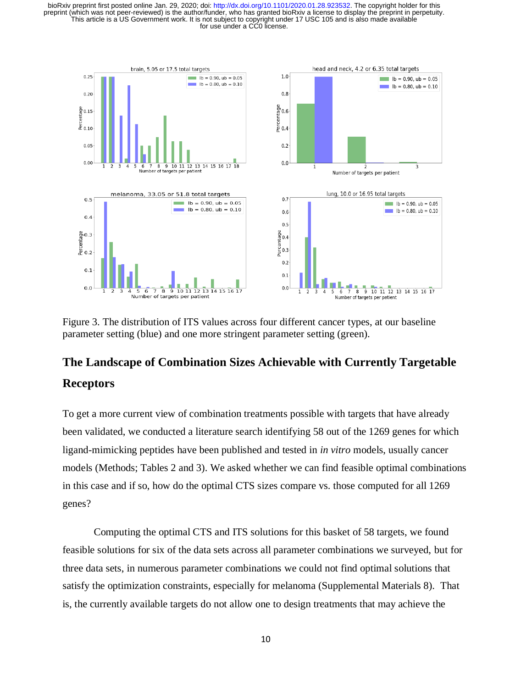

Figure 3. The distribution of ITS values across four different cancer types, at our baseline parameter setting (blue) and one more stringent parameter setting (green).

# **The Landscape of Combination Sizes Achievable with Currently Targetable Receptors**

To get a more current view of combination treatments possible with targets that have already been validated, we conducted a literature search identifying 58 out of the 1269 genes for which ligand-mimicking peptides have been published and tested in *in vitro* models, usually cancer models (Methods; Tables 2 and 3). We asked whether we can find feasible optimal combinations in this case and if so, how do the optimal CTS sizes compare vs. those computed for all 1269 genes?

Computing the optimal CTS and ITS solutions for this basket of 58 targets, we found feasible solutions for six of the data sets across all parameter combinations we surveyed, but for three data sets, in numerous parameter combinations we could not find optimal solutions that satisfy the optimization constraints, especially for melanoma (Supplemental Materials 8). That is, the currently available targets do not allow one to design treatments that may achieve the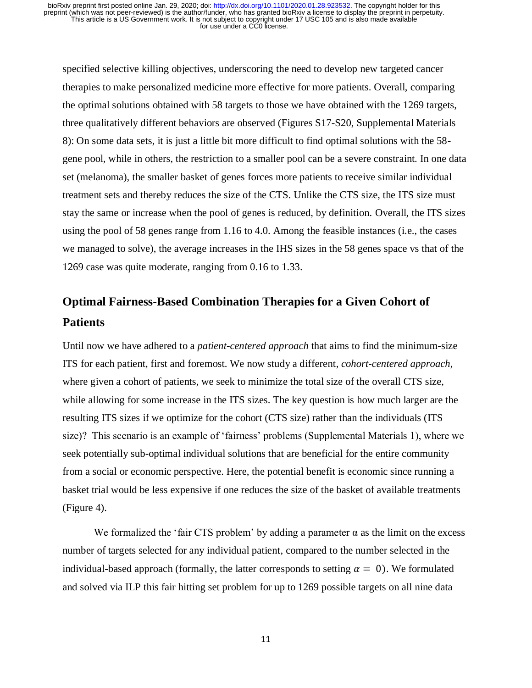specified selective killing objectives, underscoring the need to develop new targeted cancer therapies to make personalized medicine more effective for more patients. Overall, comparing the optimal solutions obtained with 58 targets to those we have obtained with the 1269 targets, three qualitatively different behaviors are observed (Figures S17-S20, Supplemental Materials 8): On some data sets, it is just a little bit more difficult to find optimal solutions with the 58 gene pool, while in others, the restriction to a smaller pool can be a severe constraint. In one data set (melanoma), the smaller basket of genes forces more patients to receive similar individual treatment sets and thereby reduces the size of the CTS. Unlike the CTS size, the ITS size must stay the same or increase when the pool of genes is reduced, by definition. Overall, the ITS sizes using the pool of 58 genes range from 1.16 to 4.0. Among the feasible instances (i.e., the cases we managed to solve), the average increases in the IHS sizes in the 58 genes space vs that of the 1269 case was quite moderate, ranging from 0.16 to 1.33.

# **Optimal Fairness-Based Combination Therapies for a Given Cohort of Patients**

Until now we have adhered to a *patient-centered approach* that aims to find the minimum-size ITS for each patient, first and foremost. We now study a different, *cohort-centered approach*, where given a cohort of patients, we seek to minimize the total size of the overall CTS size, while allowing for some increase in the ITS sizes. The key question is how much larger are the resulting ITS sizes if we optimize for the cohort (CTS size) rather than the individuals (ITS size)? This scenario is an example of 'fairness' problems (Supplemental Materials 1), where we seek potentially sub-optimal individual solutions that are beneficial for the entire community from a social or economic perspective. Here, the potential benefit is economic since running a basket trial would be less expensive if one reduces the size of the basket of available treatments (Figure 4).

We formalized the 'fair CTS problem' by adding a parameter  $\alpha$  as the limit on the excess number of targets selected for any individual patient, compared to the number selected in the individual-based approach (formally, the latter corresponds to setting  $\alpha = 0$ ). We formulated and solved via ILP this fair hitting set problem for up to 1269 possible targets on all nine data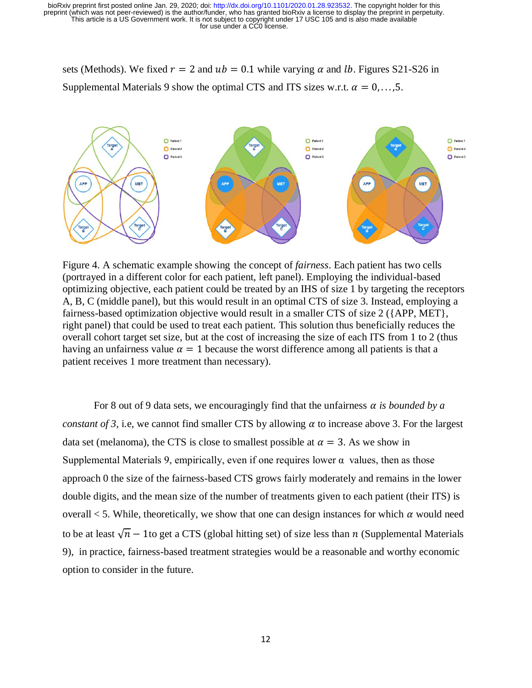sets (Methods). We fixed  $r = 2$  and  $ub = 0.1$  while varying  $\alpha$  and lb. Figures S21-S26 in Supplemental Materials 9 show the optimal CTS and ITS sizes w.r.t.  $\alpha = 0, \ldots, 5$ .



Figure 4. A schematic example showing the concept of *fairness*. Each patient has two cells (portrayed in a different color for each patient, left panel). Employing the individual-based optimizing objective, each patient could be treated by an IHS of size 1 by targeting the receptors A, B, C (middle panel), but this would result in an optimal CTS of size 3. Instead, employing a fairness-based optimization objective would result in a smaller CTS of size 2 ({APP, MET}, right panel) that could be used to treat each patient. This solution thus beneficially reduces the overall cohort target set size, but at the cost of increasing the size of each ITS from 1 to 2 (thus having an unfairness value  $\alpha = 1$  because the worst difference among all patients is that a patient receives 1 more treatment than necessary).

For 8 out of 9 data sets, we encouragingly find that the unfairness  $\alpha$  is bounded by  $\alpha$ *constant of 3, i.e, we cannot find smaller CTS by allowing*  $\alpha$  *to increase above 3. For the largest* data set (melanoma), the CTS is close to smallest possible at  $\alpha = 3$ . As we show in Supplemental Materials 9, empirically, even if one requires lower  $\alpha$  values, then as those approach 0 the size of the fairness-based CTS grows fairly moderately and remains in the lower double digits, and the mean size of the number of treatments given to each patient (their ITS) is overall  $<$  5. While, theoretically, we show that one can design instances for which  $\alpha$  would need to be at least  $\sqrt{n}$  – 1to get a CTS (global hitting set) of size less than *n* (Supplemental Materials 9), in practice, fairness-based treatment strategies would be a reasonable and worthy economic option to consider in the future.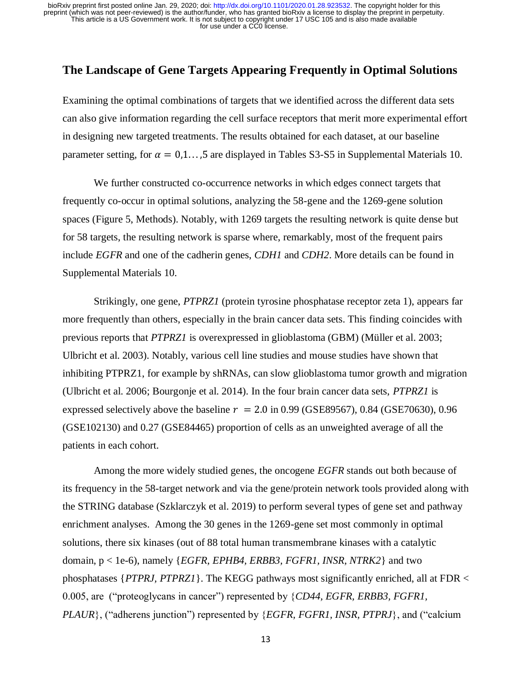#### **The Landscape of Gene Targets Appearing Frequently in Optimal Solutions**

Examining the optimal combinations of targets that we identified across the different data sets can also give information regarding the cell surface receptors that merit more experimental effort in designing new targeted treatments. The results obtained for each dataset, at our baseline parameter setting, for  $\alpha = 0,1...$ , 5 are displayed in Tables S3-S5 in Supplemental Materials 10.

We further constructed co-occurrence networks in which edges connect targets that frequently co-occur in optimal solutions, analyzing the 58-gene and the 1269-gene solution spaces (Figure 5, Methods). Notably, with 1269 targets the resulting network is quite dense but for 58 targets, the resulting network is sparse where, remarkably, most of the frequent pairs include *EGFR* and one of the cadherin genes, *CDH1* and *CDH2*. More details can be found in Supplemental Materials 10.

Strikingly, one gene, *PTPRZ1* (protein tyrosine phosphatase receptor zeta 1), appears far more frequently than others, especially in the brain cancer data sets. This finding coincides with previous reports that *PTPRZ1* is overexpressed in glioblastoma (GBM) (Müller et al. 2003; Ulbricht et al. 2003). Notably, various cell line studies and mouse studies have shown that inhibiting PTPRZ1, for example by shRNAs, can slow glioblastoma tumor growth and migration (Ulbricht et al. 2006; Bourgonje et al. 2014). In the four brain cancer data sets, *PTPRZ1* is expressed selectively above the baseline  $r = 2.0$  in 0.99 (GSE89567), 0.84 (GSE70630), 0.96 (GSE102130) and 0.27 (GSE84465) proportion of cells as an unweighted average of all the patients in each cohort.

Among the more widely studied genes, the oncogene *EGFR* stands out both because of its frequency in the 58-target network and via the gene/protein network tools provided along with the STRING database (Szklarczyk et al. 2019) to perform several types of gene set and pathway enrichment analyses. Among the 30 genes in the 1269-gene set most commonly in optimal solutions, there six kinases (out of 88 total human transmembrane kinases with a catalytic domain, p < 1e-6), namely {*EGFR, EPHB4, ERBB3, FGFR1, INSR, NTRK2*} and two phosphatases {*PTPRJ, PTPRZ1*}. The KEGG pathways most significantly enriched, all at FDR < 0.005, are ("proteoglycans in cancer") represented by {*CD44, EGFR, ERBB3, FGFR1, PLAUR*}, ("adherens junction") represented by {*EGFR, FGFR1, INSR, PTPRJ*}, and ("calcium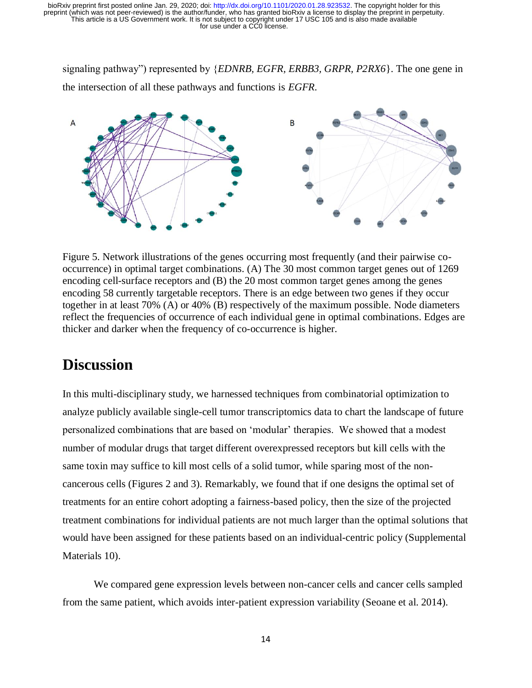signaling pathway") represented by {*EDNRB, EGFR, ERBB3, GRPR, P2RX6*}. The one gene in the intersection of all these pathways and functions is *EGFR*.



Figure 5. Network illustrations of the genes occurring most frequently (and their pairwise cooccurrence) in optimal target combinations. (A) The 30 most common target genes out of 1269 encoding cell-surface receptors and (B) the 20 most common target genes among the genes encoding 58 currently targetable receptors. There is an edge between two genes if they occur together in at least 70% (A) or 40% (B) respectively of the maximum possible. Node diameters reflect the frequencies of occurrence of each individual gene in optimal combinations. Edges are thicker and darker when the frequency of co-occurrence is higher.

## **Discussion**

In this multi-disciplinary study, we harnessed techniques from combinatorial optimization to analyze publicly available single-cell tumor transcriptomics data to chart the landscape of future personalized combinations that are based on 'modular' therapies. We showed that a modest number of modular drugs that target different overexpressed receptors but kill cells with the same toxin may suffice to kill most cells of a solid tumor, while sparing most of the noncancerous cells (Figures 2 and 3). Remarkably, we found that if one designs the optimal set of treatments for an entire cohort adopting a fairness-based policy, then the size of the projected treatment combinations for individual patients are not much larger than the optimal solutions that would have been assigned for these patients based on an individual-centric policy (Supplemental Materials 10).

We compared gene expression levels between non-cancer cells and cancer cells sampled from the same patient, which avoids inter-patient expression variability (Seoane et al. 2014).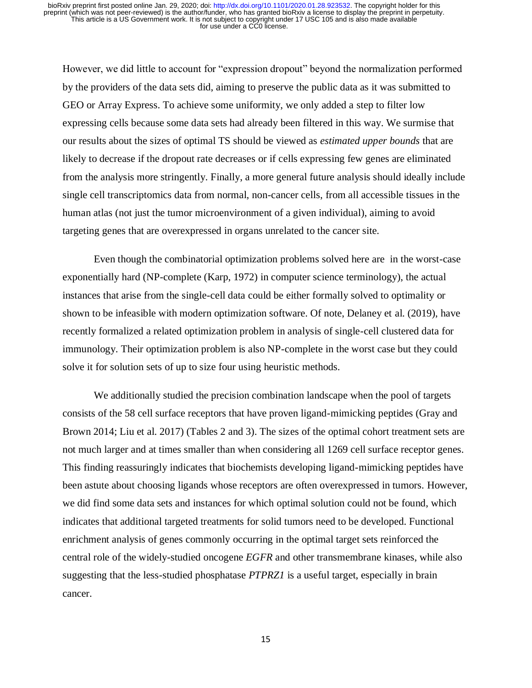However, we did little to account for "expression dropout" beyond the normalization performed by the providers of the data sets did, aiming to preserve the public data as it was submitted to GEO or Array Express. To achieve some uniformity, we only added a step to filter low expressing cells because some data sets had already been filtered in this way. We surmise that our results about the sizes of optimal TS should be viewed as *estimated upper bounds* that are likely to decrease if the dropout rate decreases or if cells expressing few genes are eliminated from the analysis more stringently. Finally, a more general future analysis should ideally include single cell transcriptomics data from normal, non-cancer cells, from all accessible tissues in the human atlas (not just the tumor microenvironment of a given individual), aiming to avoid targeting genes that are overexpressed in organs unrelated to the cancer site.

Even though the combinatorial optimization problems solved here are in the worst-case exponentially hard (NP-complete (Karp, 1972) in computer science terminology), the actual instances that arise from the single-cell data could be either formally solved to optimality or shown to be infeasible with modern optimization software. Of note, Delaney et al. (2019), have recently formalized a related optimization problem in analysis of single-cell clustered data for immunology. Their optimization problem is also NP-complete in the worst case but they could solve it for solution sets of up to size four using heuristic methods.

We additionally studied the precision combination landscape when the pool of targets consists of the 58 cell surface receptors that have proven ligand-mimicking peptides (Gray and Brown 2014; Liu et al. 2017) (Tables 2 and 3). The sizes of the optimal cohort treatment sets are not much larger and at times smaller than when considering all 1269 cell surface receptor genes. This finding reassuringly indicates that biochemists developing ligand-mimicking peptides have been astute about choosing ligands whose receptors are often overexpressed in tumors. However, we did find some data sets and instances for which optimal solution could not be found, which indicates that additional targeted treatments for solid tumors need to be developed. Functional enrichment analysis of genes commonly occurring in the optimal target sets reinforced the central role of the widely-studied oncogene *EGFR* and other transmembrane kinases, while also suggesting that the less-studied phosphatase *PTPRZ1* is a useful target, especially in brain cancer.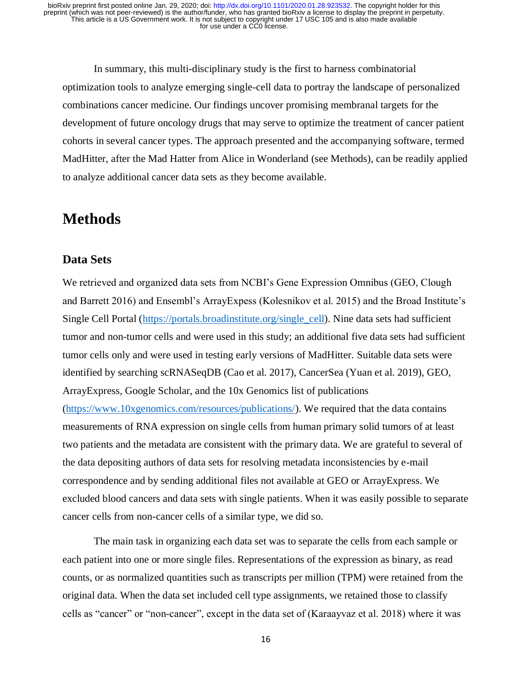In summary, this multi-disciplinary study is the first to harness combinatorial optimization tools to analyze emerging single-cell data to portray the landscape of personalized combinations cancer medicine. Our findings uncover promising membranal targets for the development of future oncology drugs that may serve to optimize the treatment of cancer patient cohorts in several cancer types. The approach presented and the accompanying software, termed MadHitter, after the Mad Hatter from Alice in Wonderland (see Methods), can be readily applied to analyze additional cancer data sets as they become available.

## **Methods**

#### **Data Sets**

We retrieved and organized data sets from NCBI's Gene Expression Omnibus (GEO, Clough and Barrett 2016) and Ensembl's ArrayExpess (Kolesnikov et al. 2015) and the Broad Institute's Single Cell Portal [\(https://portals.broadinstitute.org/single\\_cell\)](https://portals.broadinstitute.org/single_cell). Nine data sets had sufficient tumor and non-tumor cells and were used in this study; an additional five data sets had sufficient tumor cells only and were used in testing early versions of MadHitter. Suitable data sets were identified by searching scRNASeqDB (Cao et al. 2017), CancerSea (Yuan et al. 2019), GEO, ArrayExpress, Google Scholar, and the 10x Genomics list of publications [\(https://www.10xgenomics.com/resources/publications/\)](https://www.10xgenomics.com/resources/publications/). We required that the data contains measurements of RNA expression on single cells from human primary solid tumors of at least two patients and the metadata are consistent with the primary data. We are grateful to several of the data depositing authors of data sets for resolving metadata inconsistencies by e-mail correspondence and by sending additional files not available at GEO or ArrayExpress. We excluded blood cancers and data sets with single patients. When it was easily possible to separate cancer cells from non-cancer cells of a similar type, we did so.

The main task in organizing each data set was to separate the cells from each sample or each patient into one or more single files. Representations of the expression as binary, as read counts, or as normalized quantities such as transcripts per million (TPM) were retained from the original data. When the data set included cell type assignments, we retained those to classify cells as "cancer" or "non-cancer", except in the data set of (Karaayvaz et al. 2018) where it was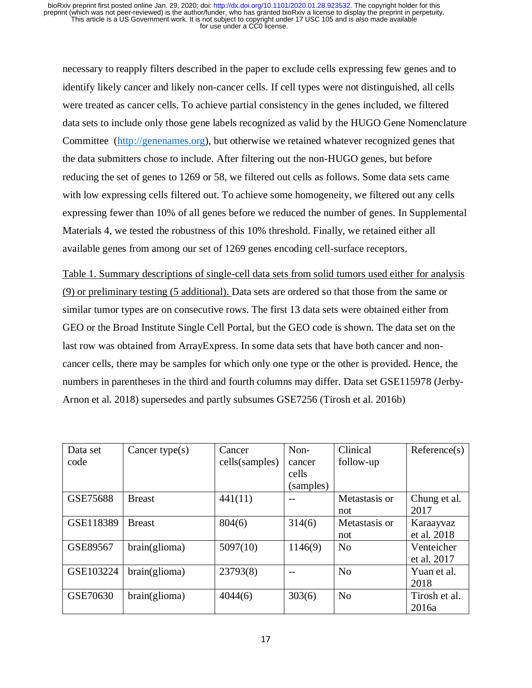necessary to reapply filters described in the paper to exclude cells expressing few genes and to identify likely cancer and likely non-cancer cells. If cell types were not distinguished, all cells were treated as cancer cells. To achieve partial consistency in the genes included, we filtered data sets to include only those gene labels recognized as valid by the HUGO Gene Nomenclature Committee [\(http://genenames.org\)](http://genenames.org/), but otherwise we retained whatever recognized genes that the data submitters chose to include. After filtering out the non-HUGO genes, but before reducing the set of genes to 1269 or 58, we filtered out cells as follows. Some data sets came with low expressing cells filtered out. To achieve some homogeneity, we filtered out any cells expressing fewer than 10% of all genes before we reduced the number of genes. In Supplemental Materials 4, we tested the robustness of this 10% threshold. Finally, we retained either all available genes from among our set of 1269 genes encoding cell-surface receptors.

Table 1. Summary descriptions of single-cell data sets from solid tumors used either for analysis (9) or preliminary testing (5 additional). Data sets are ordered so that those from the same or similar tumor types are on consecutive rows. The first 13 data sets were obtained either from GEO or the Broad Institute Single Cell Portal, but the GEO code is shown. The data set on the last row was obtained from ArrayExpress. In some data sets that have both cancer and noncancer cells, there may be samples for which only one type or the other is provided. Hence, the numbers in parentheses in the third and fourth columns may differ. Data set GSE115978 (Jerby-Arnon et al. 2018) supersedes and partly subsumes GSE7256 (Tirosh et al. 2016b)

| Data set<br>code | Cancer type $(s)$ | Cancer<br>cells(samples) | Non-<br>cancer<br>cells<br>(samples) | Clinical<br>follow-up | Reference(s)              |
|------------------|-------------------|--------------------------|--------------------------------------|-----------------------|---------------------------|
| GSE75688         | <b>Breast</b>     | 441(11)                  |                                      | Metastasis or<br>not  | Chung et al.<br>2017      |
| GSE118389        | <b>Breast</b>     | 804(6)                   | 314(6)                               | Metastasis or<br>not  | Karaayvaz<br>et al. 2018  |
| GSE89567         | brain(glioma)     | 5097(10)                 | 1146(9)                              | N <sub>0</sub>        | Venteicher<br>et al. 2017 |
| GSE103224        | brain(glioma)     | 23793(8)                 |                                      | N <sub>0</sub>        | Yuan et al.<br>2018       |
| GSE70630         | brain(glioma)     | 4044(6)                  | 303(6)                               | N <sub>0</sub>        | Tirosh et al.<br>2016a    |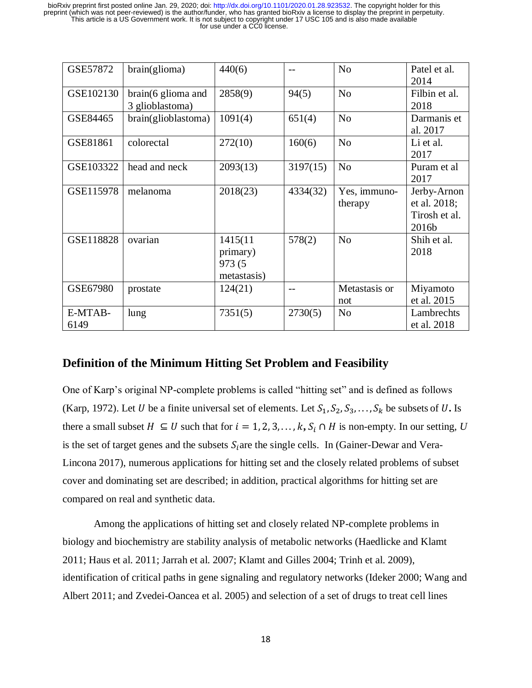| GSE57872        | brain(glioma)                                   | 440(6)                                        | $-$      | N <sub>o</sub>          | Patel et al.<br>2014                                  |
|-----------------|-------------------------------------------------|-----------------------------------------------|----------|-------------------------|-------------------------------------------------------|
| GSE102130       | $brain(6 \text{ glioma}$ and<br>3 glioblastoma) | 2858(9)                                       | 94(5)    | N <sub>0</sub>          | Filbin et al.<br>2018                                 |
| GSE84465        | brain(glioblastoma)                             | 1091(4)                                       | 651(4)   | N <sub>o</sub>          | Darmanis et<br>al. 2017                               |
| GSE81861        | colorectal                                      | 272(10)                                       | 160(6)   | N <sub>o</sub>          | Li et al.<br>2017                                     |
| GSE103322       | head and neck                                   | 2093(13)                                      | 3197(15) | N <sub>o</sub>          | Puram et al<br>2017                                   |
| GSE115978       | melanoma                                        | 2018(23)                                      | 4334(32) | Yes, immuno-<br>therapy | Jerby-Arnon<br>et al. 2018;<br>Tirosh et al.<br>2016b |
| GSE118828       | ovarian                                         | 1415(11)<br>primary)<br>973 (5<br>metastasis) | 578(2)   | N <sub>o</sub>          | Shih et al.<br>2018                                   |
| GSE67980        | prostate                                        | 124(21)                                       |          | Metastasis or<br>not    | Miyamoto<br>et al. 2015                               |
| E-MTAB-<br>6149 | lung                                            | 7351(5)                                       | 2730(5)  | N <sub>o</sub>          | Lambrechts<br>et al. 2018                             |

### **Definition of the Minimum Hitting Set Problem and Feasibility**

One of Karp's original NP-complete problems is called "hitting set" and is defined as follows (Karp, 1972). Let U be a finite universal set of elements. Let  $S_1, S_2, S_3, \ldots, S_k$  be subsets of U. Is there a small subset  $H \subseteq U$  such that for  $i = 1, 2, 3, ..., k$ ,  $S_i \cap H$  is non-empty. In our setting, U is the set of target genes and the subsets  $S_i$  are the single cells. In (Gainer-Dewar and Vera-Lincona 2017), numerous applications for hitting set and the closely related problems of subset cover and dominating set are described; in addition, practical algorithms for hitting set are compared on real and synthetic data.

Among the applications of hitting set and closely related NP-complete problems in biology and biochemistry are stability analysis of metabolic networks (Haedlicke and Klamt 2011; Haus et al. 2011; Jarrah et al. 2007; Klamt and Gilles 2004; Trinh et al. 2009), identification of critical paths in gene signaling and regulatory networks (Ideker 2000; Wang and Albert 2011; and Zvedei-Oancea et al. 2005) and selection of a set of drugs to treat cell lines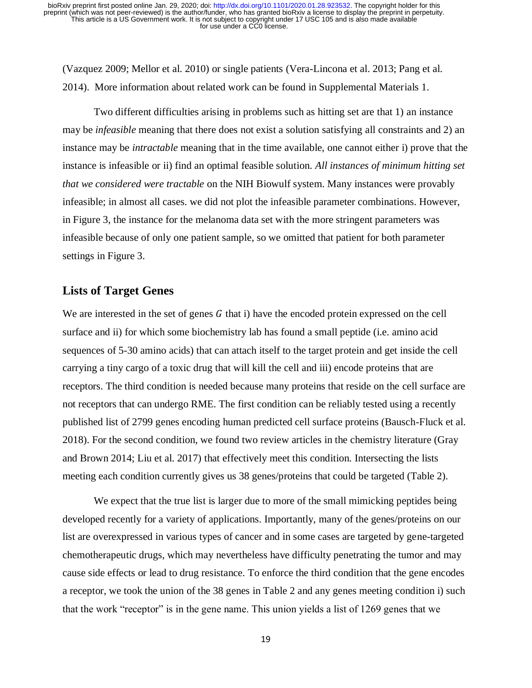(Vazquez 2009; Mellor et al. 2010) or single patients (Vera-Lincona et al. 2013; Pang et al. 2014). More information about related work can be found in Supplemental Materials 1.

Two different difficulties arising in problems such as hitting set are that 1) an instance may be *infeasible* meaning that there does not exist a solution satisfying all constraints and 2) an instance may be *intractable* meaning that in the time available, one cannot either i) prove that the instance is infeasible or ii) find an optimal feasible solution. *All instances of minimum hitting set that we considered were tractable* on the NIH Biowulf system. Many instances were provably infeasible; in almost all cases. we did not plot the infeasible parameter combinations. However, in Figure 3, the instance for the melanoma data set with the more stringent parameters was infeasible because of only one patient sample, so we omitted that patient for both parameter settings in Figure 3.

#### **Lists of Target Genes**

We are interested in the set of genes  $G$  that i) have the encoded protein expressed on the cell surface and ii) for which some biochemistry lab has found a small peptide (i.e. amino acid sequences of 5-30 amino acids) that can attach itself to the target protein and get inside the cell carrying a tiny cargo of a toxic drug that will kill the cell and iii) encode proteins that are receptors. The third condition is needed because many proteins that reside on the cell surface are not receptors that can undergo RME. The first condition can be reliably tested using a recently published list of 2799 genes encoding human predicted cell surface proteins (Bausch-Fluck et al. 2018). For the second condition, we found two review articles in the chemistry literature (Gray and Brown 2014; Liu et al. 2017) that effectively meet this condition. Intersecting the lists meeting each condition currently gives us 38 genes/proteins that could be targeted (Table 2).

We expect that the true list is larger due to more of the small mimicking peptides being developed recently for a variety of applications. Importantly, many of the genes/proteins on our list are overexpressed in various types of cancer and in some cases are targeted by gene-targeted chemotherapeutic drugs, which may nevertheless have difficulty penetrating the tumor and may cause side effects or lead to drug resistance. To enforce the third condition that the gene encodes a receptor, we took the union of the 38 genes in Table 2 and any genes meeting condition i) such that the work "receptor" is in the gene name. This union yields a list of 1269 genes that we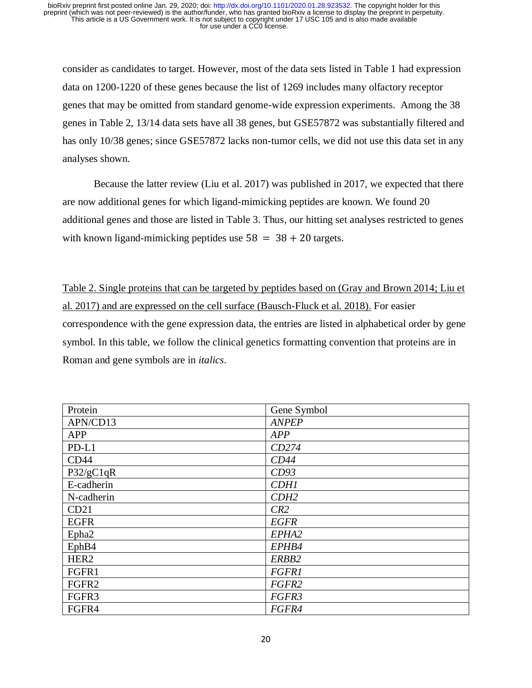consider as candidates to target. However, most of the data sets listed in Table 1 had expression data on 1200-1220 of these genes because the list of 1269 includes many olfactory receptor genes that may be omitted from standard genome-wide expression experiments. Among the 38 genes in Table 2, 13/14 data sets have all 38 genes, but GSE57872 was substantially filtered and has only 10/38 genes; since GSE57872 lacks non-tumor cells, we did not use this data set in any analyses shown.

Because the latter review (Liu et al. 2017) was published in 2017, we expected that there are now additional genes for which ligand-mimicking peptides are known. We found 20 additional genes and those are listed in Table 3. Thus, our hitting set analyses restricted to genes with known ligand-mimicking peptides use  $58 = 38 + 20$  targets.

Table 2. Single proteins that can be targeted by peptides based on (Gray and Brown 2014; Liu et al. 2017) and are expressed on the cell surface (Bausch-Fluck et al. 2018). For easier correspondence with the gene expression data, the entries are listed in alphabetical order by gene symbol. In this table, we follow the clinical genetics formatting convention that proteins are in Roman and gene symbols are in *italics*.

| Protein          | Gene Symbol  |
|------------------|--------------|
| APN/CD13         | <b>ANPEP</b> |
| <b>APP</b>       | <b>APP</b>   |
| $PD-L1$          | CD274        |
| CD44             | CD44         |
| P32/gC1qR        | CD93         |
| E-cadherin       | <b>CDH1</b>  |
| N-cadherin       | CDH2         |
| CD21             | CR2          |
| <b>EGFR</b>      | <b>EGFR</b>  |
| Epha2            | EPHA2        |
| EphB4            | EPHB4        |
| HER <sub>2</sub> | ERBB2        |
| FGFR1            | <b>FGFR1</b> |
| FGFR2            | FGFR2        |
| FGFR3            | FGFR3        |
| FGFR4            | FGFR4        |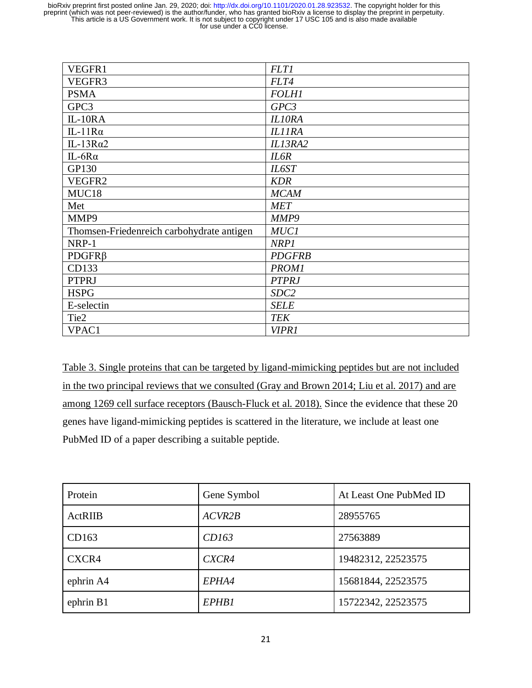| VEGFR1                                    | <b>FLT1</b>      |
|-------------------------------------------|------------------|
| VEGFR3                                    | FLT4             |
| <b>PSMA</b>                               | <b>FOLH1</b>     |
| GPC3                                      | GPC3             |
| $IL-10RA$                                 | <b>IL10RA</b>    |
| IL-11 $R\alpha$                           | <b>IL11RA</b>    |
| IL-13 $Ra2$                               | IL13RA2          |
| IL-6 $R\alpha$                            | IL6R             |
| GP130                                     | IL6ST            |
| VEGFR2                                    | <b>KDR</b>       |
| MUC18                                     | <b>MCAM</b>      |
| Met                                       | <b>MET</b>       |
| MMP9                                      | MMP9             |
| Thomsen-Friedenreich carbohydrate antigen | <b>MUC1</b>      |
| NRP-1                                     | NRP1             |
| $PDGFR\beta$                              | <b>PDGFRB</b>    |
| CD133                                     | <b>PROM1</b>     |
| <b>PTPRJ</b>                              | <b>PTPRJ</b>     |
| <b>HSPG</b>                               | SDC <sub>2</sub> |
| E-selectin                                | <b>SELE</b>      |
| Tie2                                      | <b>TEK</b>       |
| VPAC1                                     | <b>VIPR1</b>     |

Table 3. Single proteins that can be targeted by ligand-mimicking peptides but are not included in the two principal reviews that we consulted (Gray and Brown 2014; Liu et al. 2017) and are among 1269 cell surface receptors (Bausch-Fluck et al. 2018). Since the evidence that these 20 genes have ligand-mimicking peptides is scattered in the literature, we include at least one PubMed ID of a paper describing a suitable peptide.

| Protein        | Gene Symbol | At Least One PubMed ID |
|----------------|-------------|------------------------|
| <b>ActRIIB</b> | ACVR2B      | 28955765               |
| CD163          | CD163       | 27563889               |
| CXCR4          | CXCR4       | 19482312, 22523575     |
| ephrin A4      | EPHA4       | 15681844, 22523575     |
| ephrin B1      | EPHB1       | 15722342, 22523575     |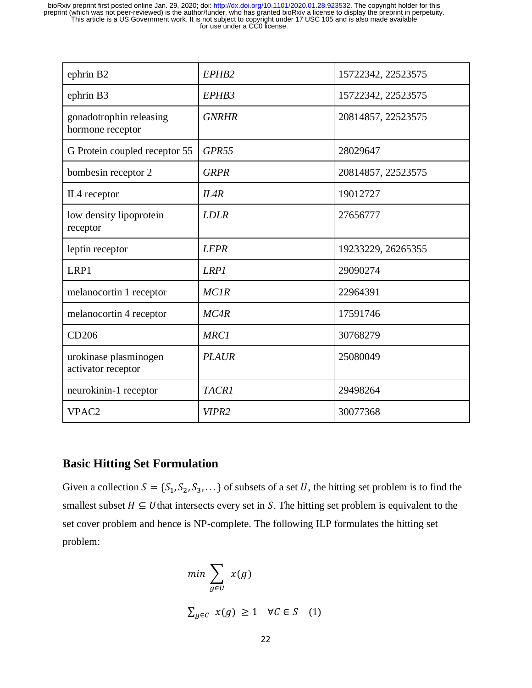| ephrin B2                                   | EPHB <sub>2</sub> | 15722342, 22523575 |
|---------------------------------------------|-------------------|--------------------|
| ephrin B3                                   | EPHB3             | 15722342, 22523575 |
| gonadotrophin releasing<br>hormone receptor | <b>GNRHR</b>      | 20814857, 22523575 |
| G Protein coupled receptor 55               | GPR <sub>55</sub> | 28029647           |
| bombesin receptor 2                         | <b>GRPR</b>       | 20814857, 22523575 |
| IL4 receptor                                | ILAR              | 19012727           |
| low density lipoprotein<br>receptor         | <b>LDLR</b>       | 27656777           |
| leptin receptor                             | <b>LEPR</b>       | 19233229, 26265355 |
| LRP1                                        | <b>LRP1</b>       | 29090274           |
| melanocortin 1 receptor                     | <b>MC1R</b>       | 22964391           |
| melanocortin 4 receptor                     | MC4R              | 17591746           |
| CD206                                       | <b>MRC1</b>       | 30768279           |
| urokinase plasminogen<br>activator receptor | <b>PLAUR</b>      | 25080049           |
| neurokinin-1 receptor                       | <b>TACR1</b>      | 29498264           |
| VPAC <sub>2</sub>                           | VIPR <sub>2</sub> | 30077368           |

### **Basic Hitting Set Formulation**

Given a collection  $S = \{S_1, S_2, S_3, \dots\}$  of subsets of a set U, the hitting set problem is to find the smallest subset  $H \subseteq U$  that intersects every set in S. The hitting set problem is equivalent to the set cover problem and hence is NP-complete. The following ILP formulates the hitting set problem:

$$
\min \sum_{g \in U} x(g)
$$
  

$$
\sum_{g \in C} x(g) \ge 1 \quad \forall C \in S \quad (1)
$$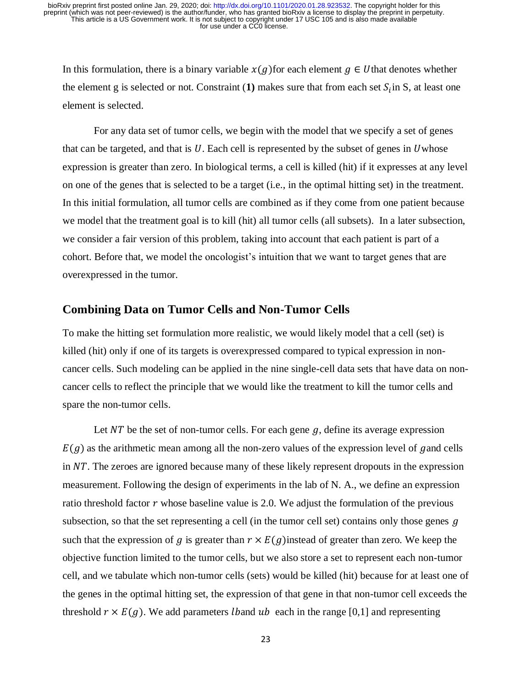In this formulation, there is a binary variable  $x(q)$  for each element  $q \in U$  that denotes whether the element g is selected or not. Constraint  $(1)$  makes sure that from each set  $S_i$  in S, at least one element is selected.

For any data set of tumor cells, we begin with the model that we specify a set of genes that can be targeted, and that is  $U$ . Each cell is represented by the subset of genes in Uwhose expression is greater than zero. In biological terms, a cell is killed (hit) if it expresses at any level on one of the genes that is selected to be a target (i.e., in the optimal hitting set) in the treatment. In this initial formulation, all tumor cells are combined as if they come from one patient because we model that the treatment goal is to kill (hit) all tumor cells (all subsets). In a later subsection, we consider a fair version of this problem, taking into account that each patient is part of a cohort. Before that, we model the oncologist's intuition that we want to target genes that are overexpressed in the tumor.

#### **Combining Data on Tumor Cells and Non-Tumor Cells**

To make the hitting set formulation more realistic, we would likely model that a cell (set) is killed (hit) only if one of its targets is overexpressed compared to typical expression in noncancer cells. Such modeling can be applied in the nine single-cell data sets that have data on noncancer cells to reflect the principle that we would like the treatment to kill the tumor cells and spare the non-tumor cells.

Let  $\overline{NT}$  be the set of non-tumor cells. For each gene  $g$ , define its average expression  $E(g)$  as the arithmetic mean among all the non-zero values of the expression level of gand cells in  $NT$ . The zeroes are ignored because many of these likely represent dropouts in the expression measurement. Following the design of experiments in the lab of N. A., we define an expression ratio threshold factor  $r$  whose baseline value is 2.0. We adjust the formulation of the previous subsection, so that the set representing a cell (in the tumor cell set) contains only those genes  $q$ such that the expression of g is greater than  $r \times E(g)$  instead of greater than zero. We keep the objective function limited to the tumor cells, but we also store a set to represent each non-tumor cell, and we tabulate which non-tumor cells (sets) would be killed (hit) because for at least one of the genes in the optimal hitting set, the expression of that gene in that non-tumor cell exceeds the threshold  $r \times E(g)$ . We add parameters *lband ub* each in the range [0,1] and representing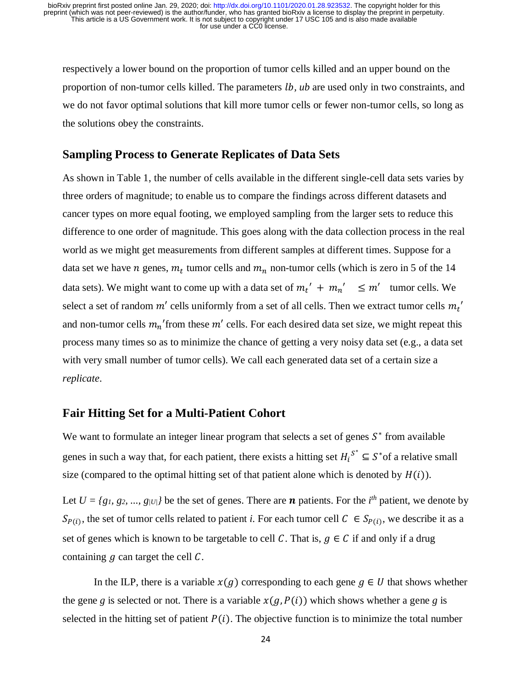respectively a lower bound on the proportion of tumor cells killed and an upper bound on the proportion of non-tumor cells killed. The parameters *lb*, *ub* are used only in two constraints, and we do not favor optimal solutions that kill more tumor cells or fewer non-tumor cells, so long as the solutions obey the constraints.

### **Sampling Process to Generate Replicates of Data Sets**

As shown in Table 1, the number of cells available in the different single-cell data sets varies by three orders of magnitude; to enable us to compare the findings across different datasets and cancer types on more equal footing, we employed sampling from the larger sets to reduce this difference to one order of magnitude. This goes along with the data collection process in the real world as we might get measurements from different samples at different times. Suppose for a data set we have *n* genes,  $m_t$  tumor cells and  $m_n$  non-tumor cells (which is zero in 5 of the 14 data sets). We might want to come up with a data set of  $m_t' + m_n' \leq m'$  tumor cells. We select a set of random  $m'$  cells uniformly from a set of all cells. Then we extract tumor cells  $m_t'$ and non-tumor cells  $m_n$ ' from these  $m'$  cells. For each desired data set size, we might repeat this process many times so as to minimize the chance of getting a very noisy data set (e.g., a data set with very small number of tumor cells). We call each generated data set of a certain size a *replicate*.

### **Fair Hitting Set for a Multi-Patient Cohort**

We want to formulate an integer linear program that selects a set of genes  $S^*$  from available genes in such a way that, for each patient, there exists a hitting set  $H_i^{S^*} \subseteq S^*$  of a relative small size (compared to the optimal hitting set of that patient alone which is denoted by  $H(i)$ ).

Let  $U = \{g_1, g_2, ..., g_{|U|}\}\$ be the set of genes. There are **n** patients. For the *i*<sup>th</sup> patient, we denote by  $S_{P(i)}$ , the set of tumor cells related to patient *i*. For each tumor cell  $C \in S_{P(i)}$ , we describe it as a set of genes which is known to be targetable to cell C. That is,  $g \in C$  if and only if a drug containing  $q$  can target the cell  $\mathcal{C}$ .

In the ILP, there is a variable  $x(g)$  corresponding to each gene  $g \in U$  that shows whether the gene *g* is selected or not. There is a variable  $x(g, P(i))$  which shows whether a gene *g* is selected in the hitting set of patient  $P(i)$ . The objective function is to minimize the total number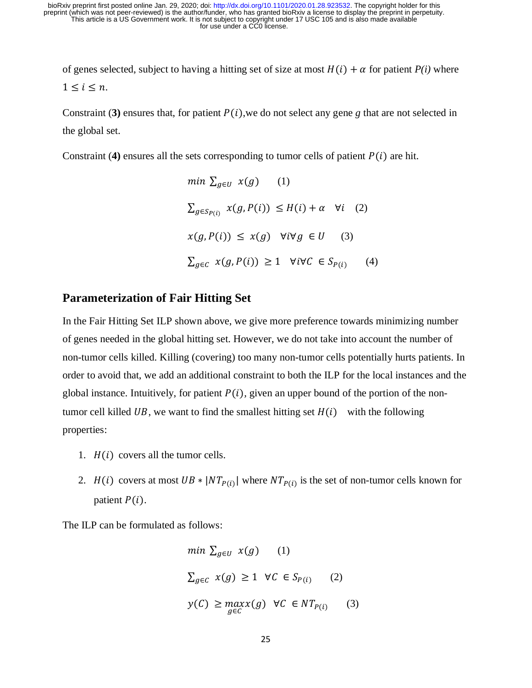of genes selected, subject to having a hitting set of size at most  $H(i) + \alpha$  for patient  $P(i)$  where  $1 \leq i \leq n$ .

Constraint (3) ensures that, for patient  $P(i)$ , we do not select any gene g that are not selected in the global set.

Constraint (4) ensures all the sets corresponding to tumor cells of patient  $P(i)$  are hit.

$$
\min \sum_{g \in U} x(g) \quad (1)
$$
\n
$$
\sum_{g \in Sp(i)} x(g, P(i)) \le H(i) + \alpha \quad \forall i \quad (2)
$$
\n
$$
x(g, P(i)) \le x(g) \quad \forall i \forall g \in U \quad (3)
$$
\n
$$
\sum_{g \in C} x(g, P(i)) \ge 1 \quad \forall i \forall C \in S_{P(i)} \quad (4)
$$

### **Parameterization of Fair Hitting Set**

In the Fair Hitting Set ILP shown above, we give more preference towards minimizing number of genes needed in the global hitting set. However, we do not take into account the number of non-tumor cells killed. Killing (covering) too many non-tumor cells potentially hurts patients. In order to avoid that, we add an additional constraint to both the ILP for the local instances and the global instance. Intuitively, for patient  $P(i)$ , given an upper bound of the portion of the nontumor cell killed UB, we want to find the smallest hitting set  $H(i)$  with the following properties:

- 1.  $H(i)$  covers all the tumor cells.
- 2.  $H(i)$  covers at most  $UB * |NT_{P(i)}|$  where  $NT_{P(i)}$  is the set of non-tumor cells known for patient  $P(i)$ .

The ILP can be formulated as follows:

$$
\min \sum_{g \in U} x(g) \qquad (1)
$$
  

$$
\sum_{g \in C} x(g) \ge 1 \quad \forall C \in S_{P(i)} \qquad (2)
$$
  

$$
y(C) \ge \max_{g \in C} x(g) \quad \forall C \in NT_{P(i)} \qquad (3)
$$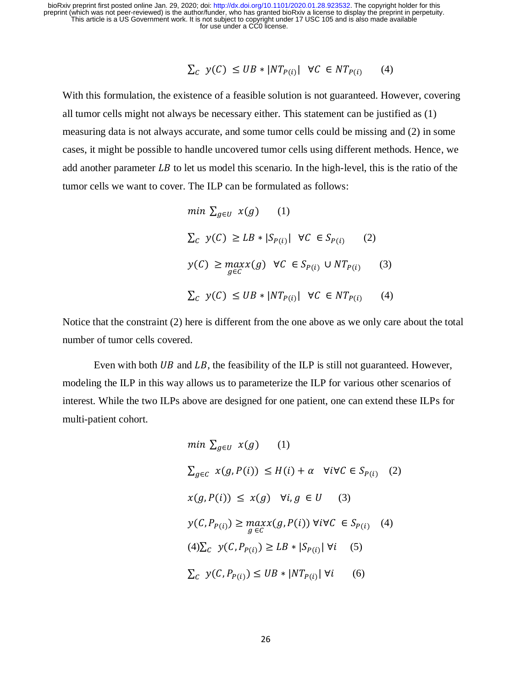$$
\sum_{C} y(C) \leq UB * |NT_{P(i)}| \ \forall C \in NT_{P(i)} \tag{4}
$$

With this formulation, the existence of a feasible solution is not guaranteed. However, covering all tumor cells might not always be necessary either. This statement can be justified as (1) measuring data is not always accurate, and some tumor cells could be missing and (2) in some cases, it might be possible to handle uncovered tumor cells using different methods. Hence, we add another parameter  $LB$  to let us model this scenario. In the high-level, this is the ratio of the tumor cells we want to cover. The ILP can be formulated as follows:

$$
\min \sum_{g \in U} x(g) \quad (1)
$$
\n
$$
\sum_{C} y(C) \geq LB * |S_{P(i)}| \quad \forall C \in S_{P(i)} \quad (2)
$$
\n
$$
y(C) \geq \max_{g \in C} x(g) \quad \forall C \in S_{P(i)} \cup NT_{P(i)} \quad (3)
$$
\n
$$
\sum_{C} y(C) \leq UB * |NT_{P(i)}| \quad \forall C \in NT_{P(i)} \quad (4)
$$

Notice that the constraint (2) here is different from the one above as we only care about the total number of tumor cells covered.

Even with both  $UB$  and  $LB$ , the feasibility of the ILP is still not guaranteed. However, modeling the ILP in this way allows us to parameterize the ILP for various other scenarios of interest. While the two ILPs above are designed for one patient, one can extend these ILPs for multi-patient cohort.

$$
\min \sum_{g \in U} x(g) \quad (1)
$$
\n
$$
\sum_{g \in C} x(g, P(i)) \leq H(i) + \alpha \quad \forall i \forall C \in S_{P(i)} \quad (2)
$$
\n
$$
x(g, P(i)) \leq x(g) \quad \forall i, g \in U \quad (3)
$$
\n
$$
y(C, P_{P(i)}) \geq \max_{g \in C} x(g, P(i)) \quad \forall i \forall C \in S_{P(i)} \quad (4)
$$
\n
$$
(4) \sum_{C} y(C, P_{P(i)}) \geq LB * |S_{P(i)}| \quad \forall i \quad (5)
$$
\n
$$
\sum_{C} y(C, P_{P(i)}) \leq UB * |NT_{P(i)}| \quad \forall i \quad (6)
$$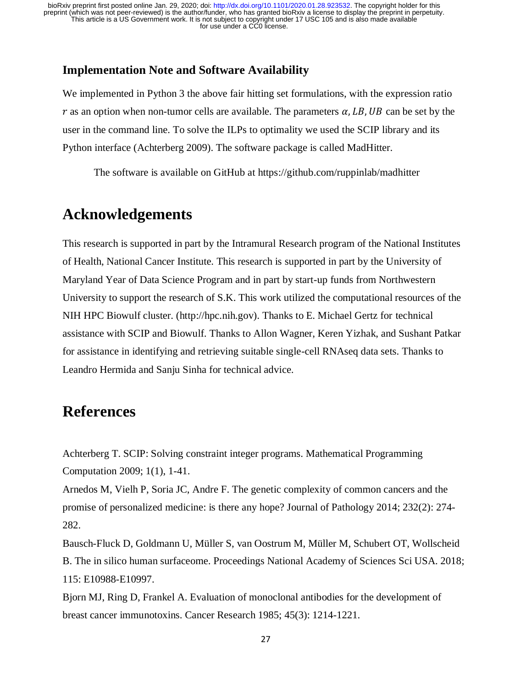#### **Implementation Note and Software Availability**

We implemented in Python 3 the above fair hitting set formulations, with the expression ratio r as an option when non-tumor cells are available. The parameters  $\alpha$ , LB, UB can be set by the user in the command line. To solve the ILPs to optimality we used the SCIP library and its Python interface (Achterberg 2009). The software package is called MadHitter.

The software is available on GitHub at https://github.com/ruppinlab/madhitter

### **Acknowledgements**

This research is supported in part by the Intramural Research program of the National Institutes of Health, National Cancer Institute. This research is supported in part by the University of Maryland Year of Data Science Program and in part by start-up funds from Northwestern University to support the research of S.K. This work utilized the computational resources of the NIH HPC Biowulf cluster. (http://hpc.nih.gov). Thanks to E. Michael Gertz for technical assistance with SCIP and Biowulf. Thanks to Allon Wagner, Keren Yizhak, and Sushant Patkar for assistance in identifying and retrieving suitable single-cell RNAseq data sets. Thanks to Leandro Hermida and Sanju Sinha for technical advice.

### **References**

Achterberg T. SCIP: Solving constraint integer programs. Mathematical Programming Computation 2009; 1(1), 1-41.

Arnedos M, Vielh P, Soria JC, Andre F. T[he genetic complexity of common cancers and the](https://www.ncbi.nlm.nih.gov/pubmed/24114621)  [promise of personalized medicine: is there any hope? Journal of](https://www.ncbi.nlm.nih.gov/pubmed/24114621) Pathology 2014; 232(2): 274- [282.](https://www.ncbi.nlm.nih.gov/pubmed/24114621)

Bausch-Fluck D, Goldmann U, Müller S, van Oostrum M, Müller M, Schubert OT, Wollscheid B. The in silico human surfaceome. Proceedings National Academy of Sciences Sci USA. 2018; 115: E10988-E10997.

Bjorn MJ, Ring D, Frankel A. Evaluation of monoclonal antibodies for the development of breast cancer immunotoxins. Cancer Research 1985; 45(3): 1214-1221.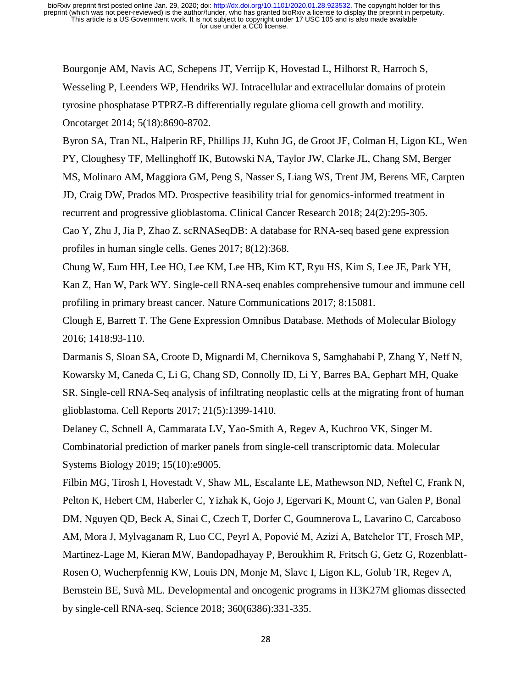Bourgonje AM, Navis AC, Schepens JT, Verrijp K, Hovestad L, Hilhorst R, Harroch S, Wesseling P, Leenders WP, Hendriks WJ. Intracellular and extracellular domains of protein tyrosine phosphatase PTPRZ-B differentially regulate glioma cell growth and motility. Oncotarget 2014; 5(18):8690-8702.

Byron SA, Tran NL, Halperin RF, Phillips JJ, Kuhn JG, de Groot JF, Colman H, Ligon KL, Wen PY, Cloughesy TF, Mellinghoff IK, Butowski NA, Taylor JW, Clarke JL, Chang SM, Berger MS, Molinaro AM, Maggiora GM, Peng S, Nasser S, Liang WS, Trent JM, Berens ME, Carpten JD, Craig DW, Prados MD. Prospective feasibility trial for genomics-informed treatment in recurrent and progressive glioblastoma. Clinical Cancer Research 2018; 24(2):295-305. Cao Y, Zhu J, Jia P, Zhao Z. scRNASeqDB: A database for RNA-seq based gene expression

profiles in human single cells. Genes 2017; 8(12):368.

Chung W, Eum HH, Lee HO, Lee KM, Lee HB, Kim KT, Ryu HS, Kim S, Lee JE, Park YH, Kan Z, Han W, Park WY. Single-cell RNA-seq enables comprehensive tumour and immune cell profiling in primary breast cancer. Nature Communications 2017; 8:15081.

Clough E, Barrett T. The Gene Expression Omnibus Database. Methods of Molecular Biology 2016; 1418:93-110.

Darmanis S, Sloan SA, Croote D, Mignardi M, Chernikova S, Samghababi P, Zhang Y, Neff N, Kowarsky M, Caneda C, Li G, Chang SD, Connolly ID, Li Y, Barres BA, Gephart MH, Quake SR. Single-cell RNA-Seq analysis of infiltrating neoplastic cells at the migrating front of human glioblastoma. Cell Reports 2017; 21(5):1399-1410.

Delaney C, Schnell A, Cammarata LV, Yao-Smith A, Regev A, Kuchroo VK, Singer M. Combinatorial prediction of marker panels from single-cell transcriptomic data. Molecular Systems Biology 2019; 15(10):e9005.

Filbin MG, Tirosh I, Hovestadt V, Shaw ML, Escalante LE, Mathewson ND, Neftel C, Frank N, Pelton K, Hebert CM, Haberler C, Yizhak K, Gojo J, Egervari K, Mount C, van Galen P, Bonal DM, Nguyen QD, Beck A, Sinai C, Czech T, Dorfer C, Goumnerova L, Lavarino C, Carcaboso AM, Mora J, Mylvaganam R, Luo CC, Peyrl A, Popović M, Azizi A, Batchelor TT, Frosch MP, Martinez-Lage M, Kieran MW, Bandopadhayay P, Beroukhim R, Fritsch G, Getz G, Rozenblatt-Rosen O, Wucherpfennig KW, Louis DN, Monje M, Slavc I, Ligon KL, Golub TR, Regev A, Bernstein BE, Suvà ML. Developmental and oncogenic programs in H3K27M gliomas dissected by single-cell RNA-seq. Science 2018; 360(6386):331-335.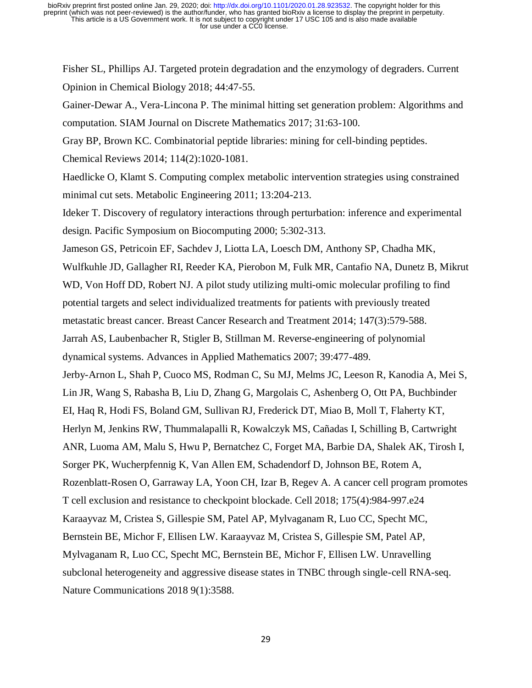Fisher SL, Phillips AJ. Targeted protein degradation and the enzymology of degraders. Current Opinion in Chemical Biology 2018; 44:47-55.

Gainer-Dewar A., Vera-Lincona P. The minimal hitting set generation problem: Algorithms and computation. SIAM Journal on Discrete Mathematics 2017; 31:63-100.

Gray BP, Brown KC. Combinatorial peptide libraries: mining for cell-binding peptides.

Chemical Reviews 2014; 114(2):1020-1081.

Haedlicke O, Klamt S. Computing complex metabolic intervention strategies using constrained minimal cut sets. Metabolic Engineering 2011; 13:204-213.

Ideker T. Discovery of regulatory interactions through perturbation: inference and experimental design. Pacific Symposium on Biocomputing 2000; 5:302-313.

[Jameson GS,](https://www.ncbi.nlm.nih.gov/pubmed/?term=Jameson%20GS%5BAuthor%5D&cauthor=true&cauthor_uid=25209003) [Petricoin EF,](https://www.ncbi.nlm.nih.gov/pubmed/?term=Petricoin%20EF%5BAuthor%5D&cauthor=true&cauthor_uid=25209003) [Sachdev J,](https://www.ncbi.nlm.nih.gov/pubmed/?term=Sachdev%20J%5BAuthor%5D&cauthor=true&cauthor_uid=25209003) [Liotta LA,](https://www.ncbi.nlm.nih.gov/pubmed/?term=Liotta%20LA%5BAuthor%5D&cauthor=true&cauthor_uid=25209003) [Loesch DM,](https://www.ncbi.nlm.nih.gov/pubmed/?term=Loesch%20DM%5BAuthor%5D&cauthor=true&cauthor_uid=25209003) [Anthony SP,](https://www.ncbi.nlm.nih.gov/pubmed/?term=Anthony%20SP%5BAuthor%5D&cauthor=true&cauthor_uid=25209003) [Chadha MK,](https://www.ncbi.nlm.nih.gov/pubmed/?term=Chadha%20MK%5BAuthor%5D&cauthor=true&cauthor_uid=25209003)

[Wulfkuhle JD,](https://www.ncbi.nlm.nih.gov/pubmed/?term=Wulfkuhle%20JD%5BAuthor%5D&cauthor=true&cauthor_uid=25209003) [Gallagher RI,](https://www.ncbi.nlm.nih.gov/pubmed/?term=Gallagher%20RI%5BAuthor%5D&cauthor=true&cauthor_uid=25209003) [Reeder KA,](https://www.ncbi.nlm.nih.gov/pubmed/?term=Reeder%20KA%5BAuthor%5D&cauthor=true&cauthor_uid=25209003) [Pierobon M,](https://www.ncbi.nlm.nih.gov/pubmed/?term=Pierobon%20M%5BAuthor%5D&cauthor=true&cauthor_uid=25209003) [Fulk MR,](https://www.ncbi.nlm.nih.gov/pubmed/?term=Fulk%20MR%5BAuthor%5D&cauthor=true&cauthor_uid=25209003) [Cantafio NA,](https://www.ncbi.nlm.nih.gov/pubmed/?term=Cantafio%20NA%5BAuthor%5D&cauthor=true&cauthor_uid=25209003) [Dunetz B,](https://www.ncbi.nlm.nih.gov/pubmed/?term=Dunetz%20B%5BAuthor%5D&cauthor=true&cauthor_uid=25209003) [Mikrut](https://www.ncbi.nlm.nih.gov/pubmed/?term=Mikrut%20WD%5BAuthor%5D&cauthor=true&cauthor_uid=25209003)  [WD,](https://www.ncbi.nlm.nih.gov/pubmed/?term=Mikrut%20WD%5BAuthor%5D&cauthor=true&cauthor_uid=25209003) [Von Hoff DD,](https://www.ncbi.nlm.nih.gov/pubmed/?term=Von%20Hoff%20DD%5BAuthor%5D&cauthor=true&cauthor_uid=25209003) [Robert NJ.](https://www.ncbi.nlm.nih.gov/pubmed/?term=Robert%20NJ%5BAuthor%5D&cauthor=true&cauthor_uid=25209003) A pilot study utilizing multi-omic molecular profiling to find potential targets and select individualized treatments for patients with previously treated metastatic breast cancer. [Breast Cancer Research and Treatm](https://www.ncbi.nlm.nih.gov/pubmed/?term=Jameson+GS%5Bauth%5D+2014)ent 2014; 147(3):579-588.

Jarrah AS, Laubenbacher R, Stigler B, Stillman M. Reverse-engineering of polynomial dynamical systems. Advances in Applied Mathematics 2007; 39:477-489.

Jerby-Arnon L, Shah P, Cuoco MS, Rodman C, Su MJ, Melms JC, Leeson R, Kanodia A, Mei S, Lin JR, Wang S, Rabasha B, Liu D, Zhang G, Margolais C, Ashenberg O, Ott PA, Buchbinder EI, Haq R, Hodi FS, Boland GM, Sullivan RJ, Frederick DT, Miao B, Moll T, Flaherty KT, Herlyn M, Jenkins RW, Thummalapalli R, Kowalczyk MS, Cañadas I, Schilling B, Cartwright ANR, Luoma AM, Malu S, Hwu P, Bernatchez C, Forget MA, Barbie DA, Shalek AK, Tirosh I, Sorger PK, Wucherpfennig K, Van Allen EM, Schadendorf D, Johnson BE, Rotem A, Rozenblatt-Rosen O, Garraway LA, Yoon CH, Izar B, Regev A. A cancer cell program promotes T cell exclusion and resistance to checkpoint blockade. Cell 2018; 175(4):984-997.e24 Karaayvaz M, Cristea S, Gillespie SM, Patel AP, Mylvaganam R, Luo CC, Specht MC, Bernstein BE, Michor F, Ellisen LW. Karaayvaz M, Cristea S, Gillespie SM, Patel AP, Mylvaganam R, Luo CC, Specht MC, Bernstein BE, Michor F, Ellisen LW. Unravelling subclonal heterogeneity and aggressive disease states in TNBC through single-cell RNA-seq. Nature Communications 2018 9(1):3588.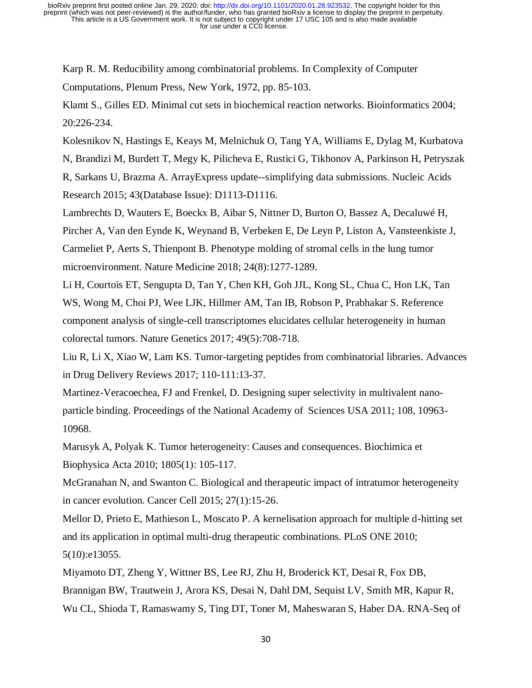Karp R. M. Reducibility among combinatorial problems. In Complexity of Computer Computations, Plenum Press, New York, 1972, pp. 85-103.

Klamt S., Gilles ED. Minimal cut sets in biochemical reaction networks. Bioinformatics 2004; 20:226-234.

Kolesnikov N, Hastings E, Keays M, Melnichuk O, Tang YA, Williams E, Dylag M, Kurbatova

N, Brandizi M, Burdett T, Megy K, Pilicheva E, Rustici G, Tikhonov A, Parkinson H, Petryszak

R, Sarkans U, Brazma A. ArrayExpress update--simplifying data submissions. Nucleic Acids Research 2015; 43(Database Issue): D1113-D1116.

Lambrechts D, Wauters E, Boeckx B, Aibar S, Nittner D, Burton O, Bassez A, Decaluwé H,

Pircher A, Van den Eynde K, Weynand B, Verbeken E, De Leyn P, Liston A, Vansteenkiste J,

Carmeliet P, Aerts S, Thienpont B. Phenotype molding of stromal cells in the lung tumor microenvironment. Nature Medicine 2018; 24(8):1277-1289.

Li H, Courtois ET, Sengupta D, Tan Y, Chen KH, Goh JJL, Kong SL, Chua C, Hon LK, Tan WS, Wong M, Choi PJ, Wee LJK, Hillmer AM, Tan IB, Robson P, Prabhakar S. Reference component analysis of single-cell transcriptomes elucidates cellular heterogeneity in human colorectal tumors. Nature Genetics 2017; 49(5):708-718.

Liu R, Li X, Xiao W, Lam KS. Tumor-targeting peptides from combinatorial libraries. Advances in Drug Delivery Reviews 2017; 110-111:13-37.

Martinez-Veracoechea, FJ and Frenkel, D. Designing super selectivity in multivalent nanoparticle binding. Proceedings of the National Academy of Sciences USA 2011; 108, 10963- 10968.

Marusyk A, Polyak K. Tumor heterogeneity: Causes and consequences. Biochimica et Biophysica Acta 2010; 1805(1): 105-117.

McGranahan N, and Swanton C. Biological and therapeutic impact of intratumor heterogeneity in cancer evolution. Cancer Cell 2015; 27(1):15-26.

Mellor D, Prieto E, Mathieson L, Moscato P. A kernelisation approach for multiple d-hitting set and its application in optimal multi-drug therapeutic combinations. PLoS ONE 2010; 5(10):e13055.

Miyamoto DT, Zheng Y, Wittner BS, Lee RJ, Zhu H, Broderick KT, Desai R, Fox DB, Brannigan BW, Trautwein J, Arora KS, Desai N, Dahl DM, Sequist LV, Smith MR, Kapur R, Wu CL, Shioda T, Ramaswamy S, Ting DT, Toner M, Maheswaran S, Haber DA. RNA-Seq of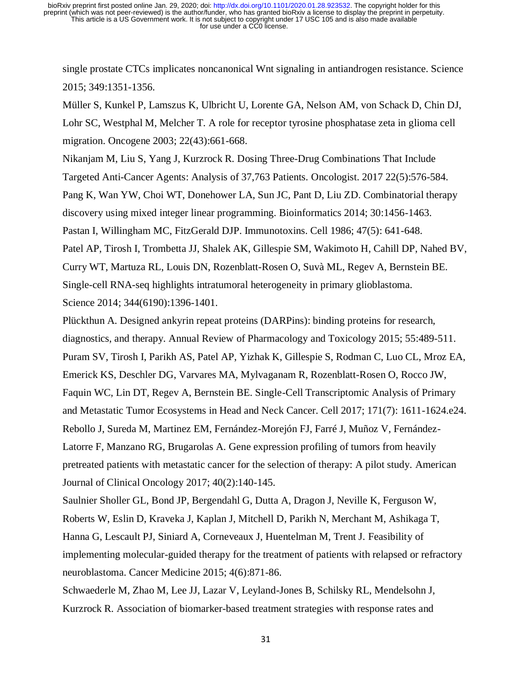single prostate CTCs implicates noncanonical Wnt signaling in antiandrogen resistance. Science 2015; 349:1351-1356.

Müller S, Kunkel P, Lamszus K, Ulbricht U, Lorente GA, Nelson AM, von Schack D, Chin DJ, Lohr SC, Westphal M, Melcher T. A role for receptor tyrosine phosphatase zeta in glioma cell migration. Oncogene 2003; 22(43):661-668.

Nikanjam M, Liu S, Yang J, Kurzrock R. [Dosing Three-Drug Combinations That Include](https://www.ncbi.nlm.nih.gov/pubmed/28424323)  [Targeted Anti-Cancer Agents: Analysis of 37,763 Patients.](https://www.ncbi.nlm.nih.gov/pubmed/28424323) Oncologist. 2017 22(5):576-584. Pang K, Wan YW, Choi WT, Donehower LA, Sun JC, Pant D, Liu ZD. Combinatorial therapy discovery using mixed integer linear programming. Bioinformatics 2014; 30:1456-1463. Pastan I, Willingham MC, FitzGerald DJP. Immunotoxins. Cell 1986; 47(5): 641-648. Patel AP, Tirosh I, Trombetta JJ, Shalek AK, Gillespie SM, Wakimoto H, Cahill DP, Nahed BV, Curry WT, Martuza RL, Louis DN, Rozenblatt-Rosen O, Suvà ML, Regev A, Bernstein BE. Single-cell RNA-seq highlights intratumoral heterogeneity in primary glioblastoma. Science 2014; 344(6190):1396-1401.

Plückthun A. Designed ankyrin repeat proteins (DARPins): binding proteins for research, diagnostics, and therapy. Annual Review of Pharmacology and Toxicology 2015; 55:489-511. Puram SV, Tirosh I, Parikh AS, Patel AP, Yizhak K, Gillespie S, Rodman C, Luo CL, Mroz EA, Emerick KS, Deschler DG, Varvares MA, Mylvaganam R, Rozenblatt-Rosen O, Rocco JW, Faquin WC, Lin DT, Regev A, Bernstein BE. Single-Cell Transcriptomic Analysis of Primary and Metastatic Tumor Ecosystems in Head and Neck Cancer. Cell 2017; 171(7): 1611-1624.e24. Rebollo J, Sureda M, Martinez EM, Fernández-Morejón FJ, Farré J, Muñoz V, Fernández-Latorre F, Manzano RG, Brugarolas A. [Gene expression profiling of tumors from heavily](https://www.ncbi.nlm.nih.gov/pubmed/25144266)  [pretreated patients with metastatic cancer for the selection of therapy: A pilot study.](https://www.ncbi.nlm.nih.gov/pubmed/25144266) American Journal of Clinical Oncology 2017; 40(2):140-145.

Saulnier Sholler GL, Bond JP, Bergendahl G, Dutta A, Dragon J, Neville K, Ferguson W, Roberts W, Eslin D, Kraveka J, Kaplan J, Mitchell D, Parikh N, Merchant M, Ashikaga T, Hanna G, Lescault PJ, Siniard A, Corneveaux J, Huentelman M, Trent J. [Feasibility of](https://www.ncbi.nlm.nih.gov/pubmed/25720842)  [implementing molecular-guided therapy for the treatment of patients with relapsed or refractory](https://www.ncbi.nlm.nih.gov/pubmed/25720842)  [neuroblastoma.](https://www.ncbi.nlm.nih.gov/pubmed/25720842) Cancer Medicine 2015; 4(6):871-86.

Schwaederle M, Zhao M, Lee JJ, Lazar V, Leyland-Jones B, Schilsky RL, Mendelsohn J, Kurzrock R. [Association of biomarker-based treatment strategies with response rates and](https://www.ncbi.nlm.nih.gov/pubmed/27273579)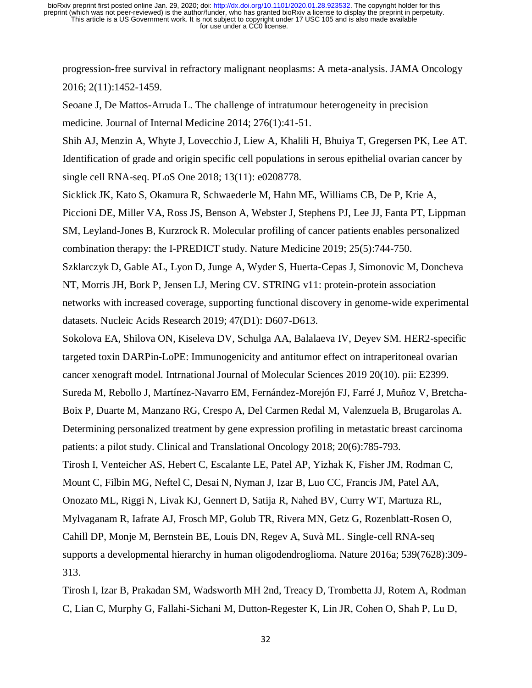[progression-free survival in refractory malignant neoplasms: A meta-analysis.](https://www.ncbi.nlm.nih.gov/pubmed/27273579) JAMA Oncology 2016; 2(11):1452-1459.

Seoane J, De Mattos-Arruda L. The challenge of intratumour heterogeneity in precision medicine. Journal of Internal Medicine 2014; 276(1):41-51.

Shih AJ, Menzin A, Whyte J, Lovecchio J, Liew A, Khalili H, Bhuiya T, Gregersen PK, Lee AT. Identification of grade and origin specific cell populations in serous epithelial ovarian cancer by single cell RNA-seq. PLoS One 2018; 13(11): e0208778.

Sicklick JK, Kato S, Okamura R, Schwaederle M, Hahn ME, Williams CB, De P, Krie A, Piccioni DE, Miller VA, Ross JS, Benson A, Webster J, Stephens PJ, Lee JJ, Fanta PT, Lippman

SM, Leyland-Jones B, Kurzrock R. Molecular profiling of cancer patients enables personalized combination therapy: the I-PREDICT study. Nature Medicine 2019; 25(5):744-750.

Szklarczyk D, Gable AL, Lyon D, Junge A, Wyder S, Huerta-Cepas J, Simonovic M, Doncheva NT, Morris JH, Bork P, Jensen LJ, Mering CV. STRING v11: protein-protein association networks with increased coverage, supporting functional discovery in genome-wide experimental datasets. Nucleic Acids Research 2019; 47(D1): D607-D613.

Sokolova EA, Shilova ON, Kiseleva DV, Schulga AA, Balalaeva IV, Deyev SM. HER2-specific targeted toxin DARPin-LoPE: Immunogenicity and antitumor effect on intraperitoneal ovarian cancer xenograft model. Intrnational Journal of Molecular Sciences 2019 20(10). pii: E2399. Sureda M, Rebollo J, Martínez-Navarro EM, Fernández-Morejón FJ, Farré J, Muñoz V, Bretcha-Boix P, Duarte M, Manzano RG, Crespo A, Del Carmen Redal M, Valenzuela B, Brugarolas A. Determining personalized treatment by gene expression profiling in metastatic breast carcinoma patients: a pilot study. Clinical and Translational Oncology 2018; 20(6):785-793. Tirosh I, Venteicher AS, Hebert C, Escalante LE, Patel AP, Yizhak K, Fisher JM, Rodman C, Mount C, Filbin MG, Neftel C, Desai N, Nyman J, Izar B, Luo CC, Francis JM, Patel AA, Onozato ML, Riggi N, Livak KJ, Gennert D, Satija R, Nahed BV, Curry WT, Martuza RL, Mylvaganam R, Iafrate AJ, Frosch MP, Golub TR, Rivera MN, Getz G, Rozenblatt-Rosen O, Cahill DP, Monje M, Bernstein BE, Louis DN, Regev A, Suvà ML. Single-cell RNA-seq supports a developmental hierarchy in human oligodendroglioma. Nature 2016a; 539(7628):309- 313.

Tirosh I, Izar B, Prakadan SM, Wadsworth MH 2nd, Treacy D, Trombetta JJ, Rotem A, Rodman C, Lian C, Murphy G, Fallahi-Sichani M, Dutton-Regester K, Lin JR, Cohen O, Shah P, Lu D,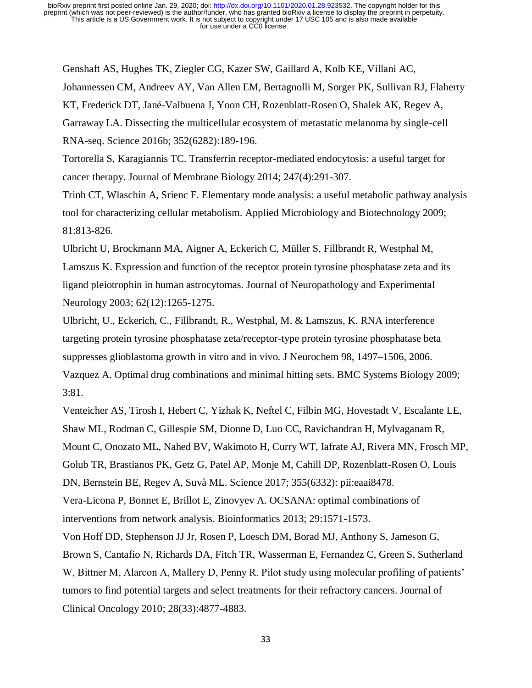Genshaft AS, Hughes TK, Ziegler CG, Kazer SW, Gaillard A, Kolb KE, Villani AC, Johannessen CM, Andreev AY, Van Allen EM, Bertagnolli M, Sorger PK, Sullivan RJ, Flaherty KT, Frederick DT, Jané-Valbuena J, Yoon CH, Rozenblatt-Rosen O, Shalek AK, Regev A, Garraway LA. Dissecting the multicellular ecosystem of metastatic melanoma by single-cell RNA-seq. Science 2016b; 352(6282):189-196.

Tortorella S, Karagiannis TC. Transferrin receptor-mediated endocytosis: a useful target for cancer therapy. Journal of Membrane Biology 2014; 247(4):291-307.

Trinh CT, Wlaschin A, Srienc F. Elementary mode analysis: a useful metabolic pathway analysis tool for characterizing cellular metabolism. Applied Microbiology and Biotechnology 2009; 81:813-826.

Ulbricht U, Brockmann MA, Aigner A, Eckerich C, Müller S, Fillbrandt R, Westphal M, Lamszus K. Expression and function of the receptor protein tyrosine phosphatase zeta and its ligand pleiotrophin in human astrocytomas. Journal of Neuropathology and Experimental Neurology 2003; 62(12):1265-1275.

Ulbricht, U., Eckerich, C., Fillbrandt, R., Westphal, M. & Lamszus, K. RNA interference targeting protein tyrosine phosphatase zeta/receptor-type protein tyrosine phosphatase beta suppresses glioblastoma growth in vitro and in vivo. J Neurochem 98, 1497–1506, 2006. Vazquez A. Optimal drug combinations and minimal hitting sets. BMC Systems Biology 2009; 3:81.

Venteicher AS, Tirosh I, Hebert C, Yizhak K, Neftel C, Filbin MG, Hovestadt V, Escalante LE, Shaw ML, Rodman C, Gillespie SM, Dionne D, Luo CC, Ravichandran H, Mylvaganam R, Mount C, Onozato ML, Nahed BV, Wakimoto H, Curry WT, Iafrate AJ, Rivera MN, Frosch MP, Golub TR, Brastianos PK, Getz G, Patel AP, Monje M, Cahill DP, Rozenblatt-Rosen O, Louis DN, Bernstein BE, Regev A, Suvà ML. Science 2017; 355(6332): pii:eaai8478. Vera-Licona P, Bonnet E, Brillot E, Zinovyev A. OCSANA: optimal combinations of interventions from network analysis. Bioinformatics 2013; 29:1571-1573.

Von Hoff DD, Stephenson JJ Jr, Rosen P, Loesch DM, Borad MJ, Anthony S, Jameson G, Brown S, Cantafio N, Richards DA, Fitch TR, Wasserman E, Fernandez C, Green S, Sutherland W, Bittner M, Alarcon A, Mallery D, Penny R. Pilot study using molecular profiling of patients' tumors to find potential targets and select treatments for their refractory cancers. Journal of Clinical Oncology 2010; 28(33):4877-4883.